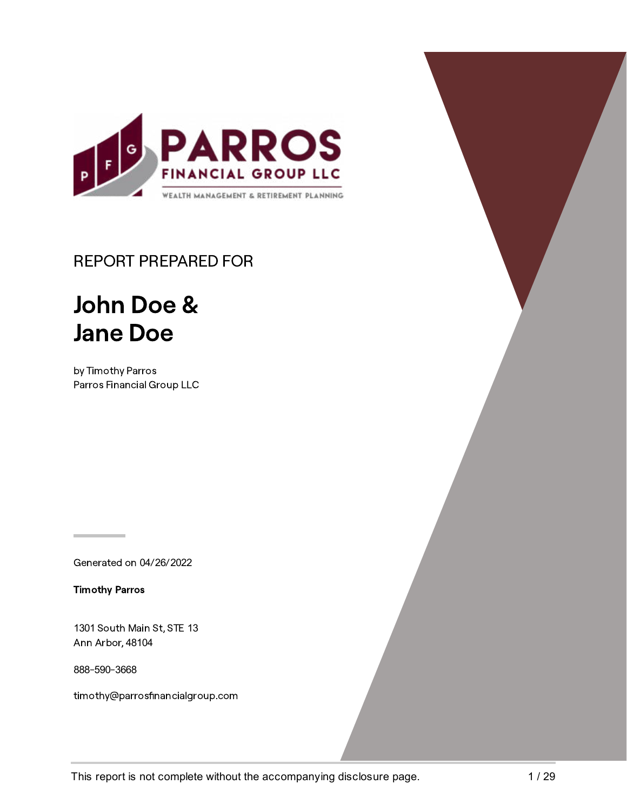

## REPORT PREPARED FOR

# John Doe & Jane Doe

by Timothy Parros Parros Financial Group LLC

Generated on 04/26/2022

Timothy Parros

1301 South Main St, STE 13 Ann Arbor, 48104

888-590-3668

timothy@parrosfinancialgroup.com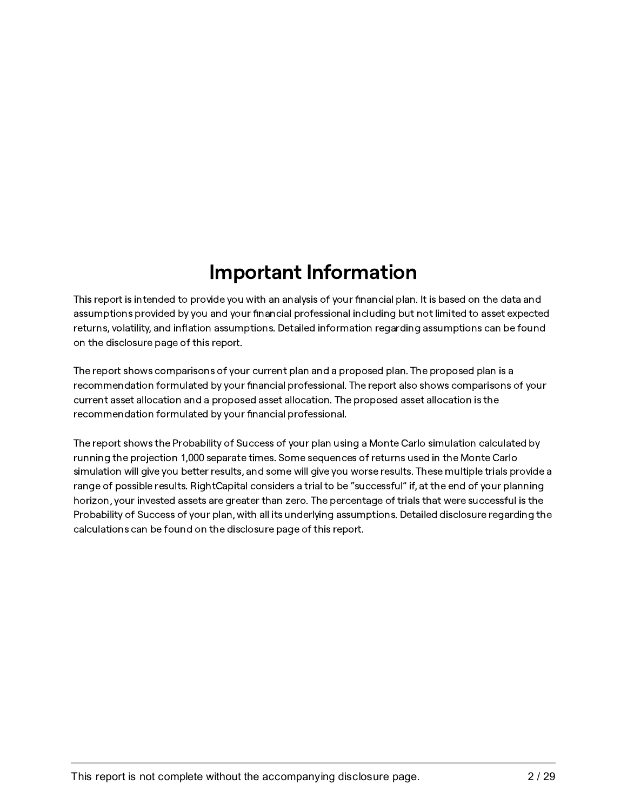# **Important Information**

This report is intended to provide you with an analysis of your financial plan. It is based on the data and assumptions provided by you and your financial professional including but not limited to asset expected returns, volatility, and inflation assumptions. Detailed information regarding assumptions can be found on the disclosure page of this report.

The report shows comparisons of your current plan and a proposed plan. The proposed plan is a recommendation formulated by your financial professional. The report also shows comparisons of your current asset allocation and a proposed asset allocation. The proposed asset allocation is the recommendation formulated by your financial professional.

The report shows the Probability of Success of your plan using a Monte Carlo simulation calculated by running the projection 1,000 separate times. Some sequences of returns used in the Monte Carlo simulation will give you better results, and some will give you worse results. These multiple trials provide a range of possible results. RightCapital considers a trial to be "successful" if, at the end of your planning horizon, your invested assets are greater than zero. The percentage of trials that were successful is the Probability of Success of your plan, with all its underlying assumptions. Detailed disclosure regarding the calculations can be found on the disclosure page of this report.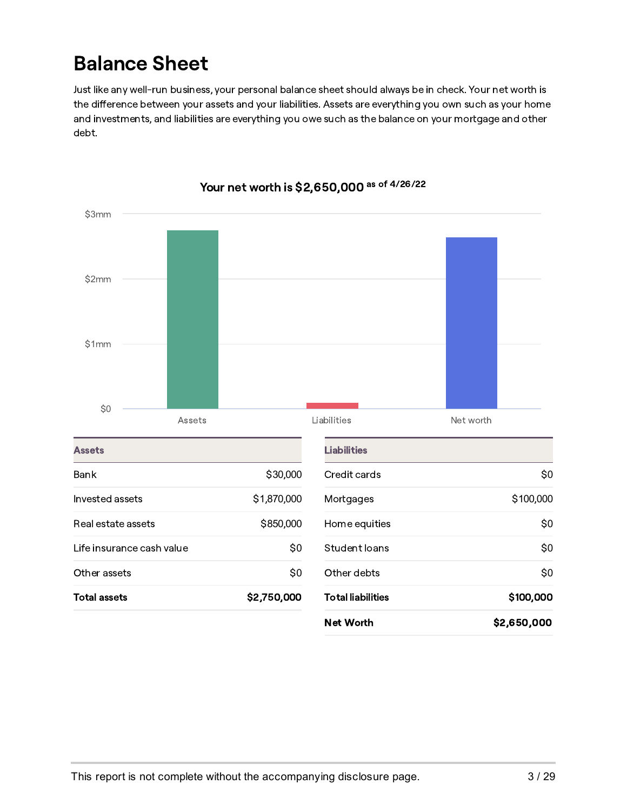## Balance Sheet

Just like any well-run business, your personal balance sheet should always be in check. Your net worth is the difference between your assets and your liabilities. Assets are everything you own such as your home and investments, and liabilities are everything you owe such as the balance on your mortgage and other debt.



#### Your net worth is \$2,650,000 <sup>as of 4/26/22</sup>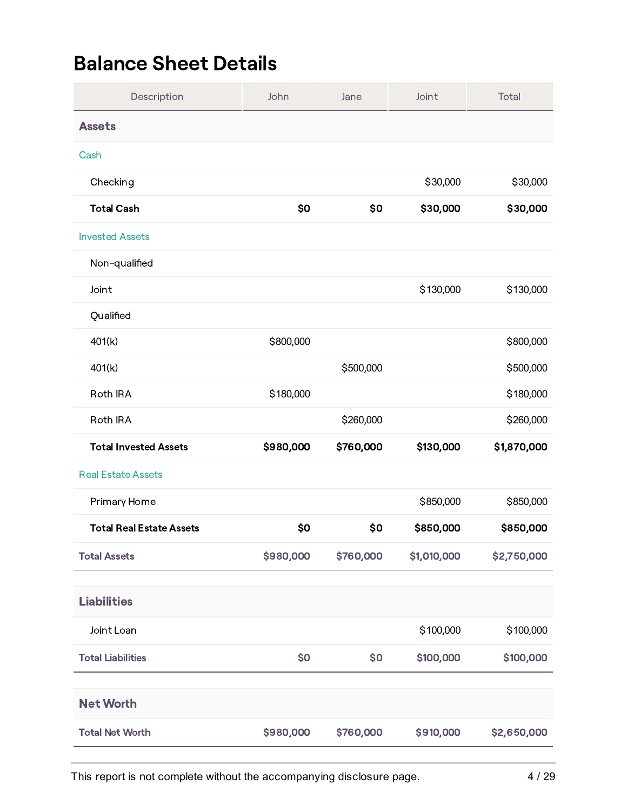## Balance Sheet Details

| Description                     | John      | Jane      | Joint       | Total       |
|---------------------------------|-----------|-----------|-------------|-------------|
| <b>Assets</b>                   |           |           |             |             |
| Cash                            |           |           |             |             |
| Checking                        |           |           | \$30,000    | \$30,000    |
| <b>Total Cash</b>               | \$0       | \$0       | \$30,000    | \$30,000    |
| <b>Invested Assets</b>          |           |           |             |             |
| Non-qualified                   |           |           |             |             |
| Joint                           |           |           | \$130,000   | \$130,000   |
| Qualified                       |           |           |             |             |
| 401(k)                          | \$800,000 |           |             | \$800,000   |
| 401(k)                          |           | \$500,000 |             | \$500,000   |
| Roth IRA                        | \$180,000 |           |             | \$180,000   |
| Roth IRA                        |           | \$260,000 |             | \$260,000   |
| <b>Total Invested Assets</b>    | \$980,000 | \$760,000 | \$130,000   | \$1,870,000 |
| <b>Real Estate Assets</b>       |           |           |             |             |
| Primary Home                    |           |           | \$850,000   | \$850,000   |
| <b>Total Real Estate Assets</b> | \$0       | \$0       | \$850,000   | \$850,000   |
| <b>Total Assets</b>             | \$980,000 | \$760,000 | \$1,010,000 | \$2,750,000 |
| <b>Liabilities</b>              |           |           |             |             |
| Joint Loan                      |           |           | \$100,000   | \$100,000   |
| <b>Total Liabilities</b>        | \$0       | \$0       | \$100,000   | \$100,000   |
|                                 |           |           |             |             |
| <b>Net Worth</b>                |           |           |             |             |
| <b>Total Net Worth</b>          | \$980,000 | \$760,000 | \$910,000   | \$2,650,000 |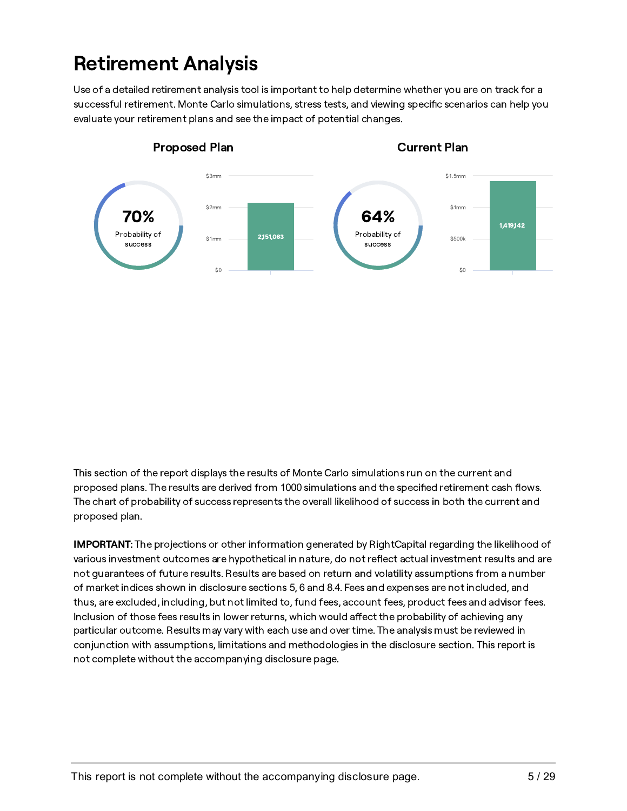# Retirement Analysis

Use of a detailed retirement analysis tool is important to help determine whether you are on track for a successful retirement. Monte Carlo simulations, stress tests, and viewing specific scenarios can help you evaluate your retirement plans and see the impact of potential changes.



This section of the report displays the results of Monte Carlo simulations run on the current and proposed plans. The results are derived from 1000 simulations and the specified retirement cash flows. The chart of probability of success represents the overall likelihood of success in both the current and proposed plan.

IMPORTANT: The projections or other information generated by RightCapital regarding the likelihood of various investment outcomes are hypothetical in nature, do not reflect actual investment results and are not guarantees of future results. Results are based on return and volatility assumptions from a number of market indices shown in disclosure sections 5, 6 and 8.4. Fees and expenses are not included, and thus, are excluded, including, but not limited to, fund fees, account fees, product fees and advisor fees. Inclusion of those fees results in lower returns, which would affect the probability of achieving any particular outcome. Results may vary with each use and over time. The analysis must be reviewed in conjunction with assumptions, limitations and methodologies in the disclosure section. This report is not complete without the accompanying disclosure page.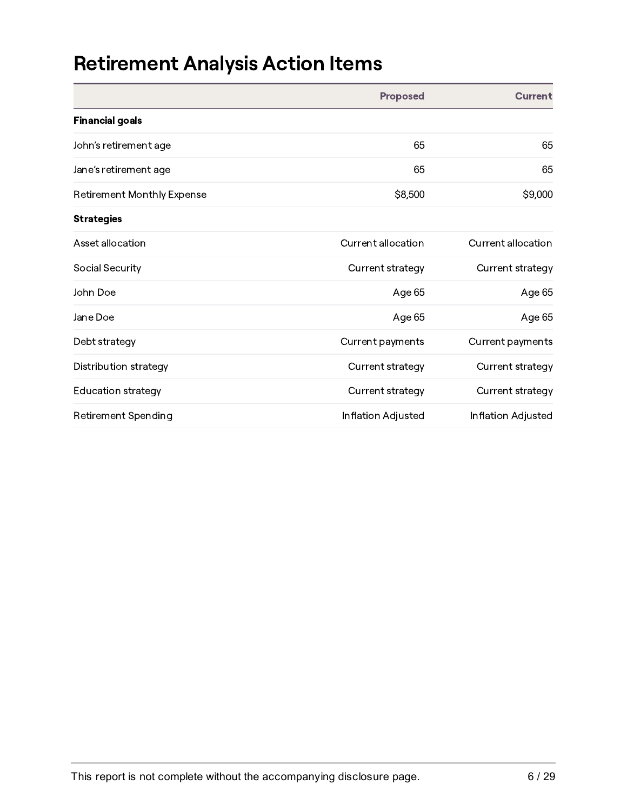# Retirement Analysis Action Items

|                                   | <b>Proposed</b>    | <b>Current</b>     |
|-----------------------------------|--------------------|--------------------|
| <b>Financial goals</b>            |                    |                    |
| John's retirement age             | 65                 | 65                 |
| Jane's retirement age             | 65                 | 65                 |
| <b>Retirement Monthly Expense</b> | \$8,500            | \$9,000            |
| <b>Strategies</b>                 |                    |                    |
| Asset allocation                  | Current allocation | Current allocation |
| Social Security                   | Current strategy   | Current strategy   |
| John Doe                          | Age 65             | Age 65             |
| Jane Doe                          | Age 65             | Age 65             |
| Debt strategy                     | Current payments   | Current payments   |
| Distribution strategy             | Current strategy   | Current strategy   |
| <b>Education strategy</b>         | Current strategy   | Current strategy   |
| Retirement Spending               | Inflation Adjusted | Inflation Adjusted |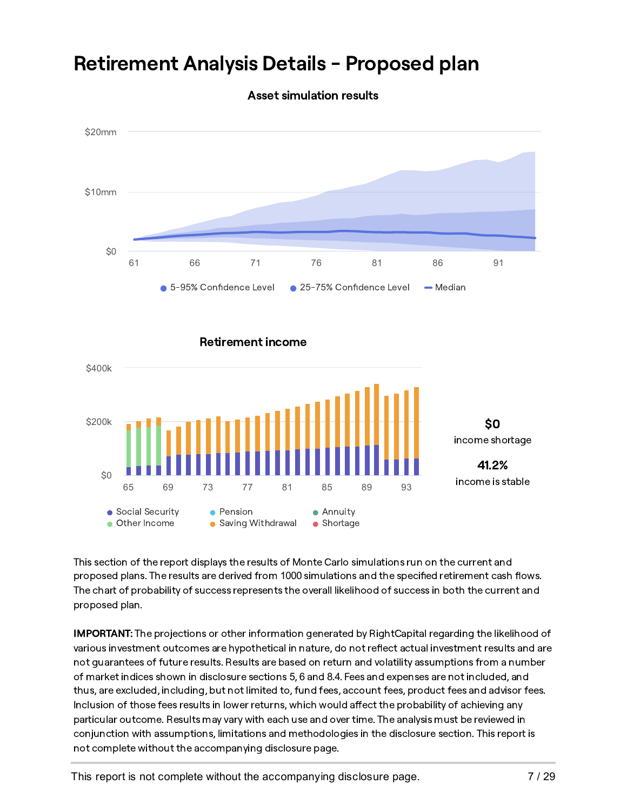

## Retirement Analysis Details - Proposed plan

Asset simulation results

This section of the report displays the results of Monte Carlo simulations run on the current and proposed plans. The results are derived from 1000 simulations and the specified retirement cash flows. The chart of probability of success represents the overall likelihood of success in both the current and proposed plan.

IMPORTANT: The projections or other information generated by RightCapital regarding the likelihood of various investment outcomes are hypothetical in nature, do not reflect actual investment results and are not guarantees of future results. Results are based on return and volatility assumptions from a number of market indices shown in disclosure sections 5, 6 and 8.4. Fees and expenses are not included, and thus, are excluded, including, but not limited to, fund fees, account fees, product fees and advisor fees. Inclusion of those fees results in lower returns, which would affect the probability of achieving any particular outcome. Results may vary with each use and over time. The analysis must be reviewed in conjunction with assumptions, limitations and methodologies in the disclosure section. This report is not complete without the accompanying disclosure page.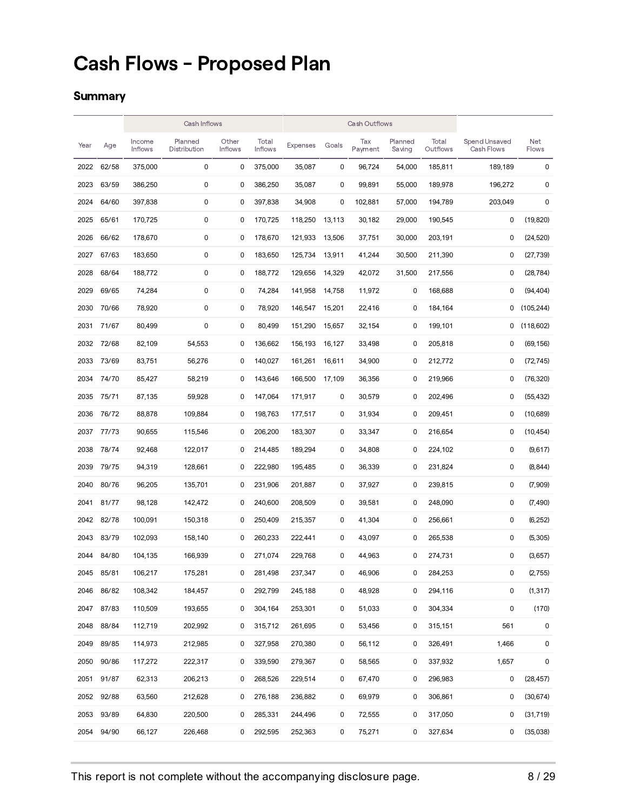## Cash Flows - Proposed Plan

#### **Summary**

|      |            | Cash Inflows             |                         | <b>Cash Outflows</b>    |                         |                 |        |                |                   |                   |                             |              |
|------|------------|--------------------------|-------------------------|-------------------------|-------------------------|-----------------|--------|----------------|-------------------|-------------------|-----------------------------|--------------|
| Year | Age        | Income<br><b>Inflows</b> | Planned<br>Distribution | Other<br><b>Inflows</b> | Total<br><b>Inflows</b> | <b>Expenses</b> | Goals  | Tax<br>Payment | Planned<br>Saving | Total<br>Outflows | Spend Unsaved<br>Cash Flows | Net<br>Flows |
| 2022 | 62/58      | 375,000                  | 0                       | 0                       | 375,000                 | 35,087          | 0      | 96,724         | 54,000            | 185,811           | 189,189                     | 0            |
| 2023 | 63/59      | 386,250                  | 0                       | 0                       | 386,250                 | 35,087          | 0      | 99,891         | 55,000            | 189,978           | 196,272                     | 0            |
| 2024 | 64/60      | 397,838                  | 0                       | 0                       | 397,838                 | 34,908          | 0      | 102,881        | 57,000            | 194,789           | 203,049                     | 0            |
| 2025 | 65/61      | 170,725                  | 0                       | 0                       | 170,725                 | 118,250         | 13,113 | 30,182         | 29,000            | 190,545           | 0                           | (19, 820)    |
| 2026 | 66/62      | 178,670                  | 0                       | 0                       | 178,670                 | 121,933         | 13,506 | 37,751         | 30,000            | 203,191           | 0                           | (24.520)     |
| 2027 | 67/63      | 183,650                  | 0                       | 0                       | 183,650                 | 125,734         | 13,911 | 41,244         | 30,500            | 211,390           | 0                           | (27, 739)    |
| 2028 | 68/64      | 188,772                  | 0                       | 0                       | 188,772                 | 129,656         | 14,329 | 42,072         | 31,500            | 217,556           | 0                           | (28, 784)    |
| 2029 | 69/65      | 74,284                   | 0                       | 0                       | 74,284                  | 141,958         | 14,758 | 11,972         | 0                 | 168,688           | 0                           | (94, 404)    |
| 2030 | 70/66      | 78,920                   | 0                       | 0                       | 78,920                  | 146,547         | 15,201 | 22,416         | 0                 | 184,164           | 0                           | (105, 244)   |
| 2031 | 71/67      | 80,499                   | 0                       | 0                       | 80,499                  | 151,290         | 15,657 | 32,154         | 0                 | 199,101           | 0                           | (118,602)    |
| 2032 | 72/68      | 82,109                   | 54,553                  | 0                       | 136,662                 | 156,193         | 16,127 | 33,498         | 0                 | 205,818           | 0                           | (69, 156)    |
| 2033 | 73/69      | 83,751                   | 56,276                  | 0                       | 140,027                 | 161,261         | 16,611 | 34,900         | 0                 | 212,772           | 0                           | (72, 745)    |
| 2034 | 74/70      | 85,427                   | 58,219                  | 0                       | 143,646                 | 166,500         | 17,109 | 36,356         | 0                 | 219,966           | 0                           | (76, 320)    |
| 2035 | 75/71      | 87,135                   | 59,928                  | 0                       | 147,064                 | 171,917         | 0      | 30,579         | 0                 | 202,496           | 0                           | (55, 432)    |
| 2036 | 76/72      | 88,878                   | 109,884                 | 0                       | 198,763                 | 177,517         | 0      | 31,934         | 0                 | 209,451           | 0                           | (10,689)     |
| 2037 | 77/73      | 90,655                   | 115,546                 | 0                       | 206,200                 | 183,307         | 0      | 33,347         | 0                 | 216,654           | 0                           | (10, 454)    |
| 2038 | 78/74      | 92,468                   | 122,017                 | 0                       | 214,485                 | 189,294         | 0      | 34,808         | 0                 | 224,102           | 0                           | (9,617)      |
| 2039 | 79/75      | 94,319                   | 128,661                 | 0                       | 222,980                 | 195,485         | 0      | 36,339         | 0                 | 231,824           | 0                           | (8,844)      |
| 2040 | 80/76      | 96,205                   | 135,701                 | 0                       | 231,906                 | 201,887         | 0      | 37,927         | 0                 | 239,815           | 0                           | (7,909)      |
| 2041 | 81/77      | 98,128                   | 142,472                 | 0                       | 240,600                 | 208,509         | 0      | 39,581         | 0                 | 248,090           | 0                           | (7,490)      |
| 2042 | 82/78      | 100,091                  | 150,318                 | 0                       | 250,409                 | 215,357         | 0      | 41,304         | 0                 | 256,661           | 0                           | (6,252)      |
| 2043 | 83/79      | 102,093                  | 158,140                 | 0                       | 260,233                 | 222,441         | 0      | 43,097         | 0                 | 265,538           | 0                           | (5,305)      |
| 2044 | 84/80      | 104,135                  | 166,939                 | 0                       | 271.074                 | 229,768         | 0      | 44,963         | 0                 | 274,731           | 0                           | (3,657)      |
| 2045 | 85/81      | 106,217                  | 175,281                 | 0                       | 281,498                 | 237,347         | 0      | 46,906         | $\Omega$          | 284,253           | 0                           | (2,755)      |
|      | 2046 86/82 | 108,342                  | 184,457                 | 0                       | 292,799                 | 245,188         | 0      | 48,928         | 0                 | 294,116           | 0                           | (1, 317)     |
|      | 2047 87/83 | 110,509                  | 193,655                 | 0                       | 304,164                 | 253,301         | 0      | 51,033         | 0                 | 304,334           | 0                           | (170)        |
|      | 2048 88/84 | 112,719                  | 202,992                 | 0                       | 315,712                 | 261,695         | 0      | 53,456         | 0                 | 315,151           | 561                         | 0            |
|      | 2049 89/85 | 114,973                  | 212,985                 | 0                       | 327,958                 | 270,380         | 0      | 56,112         | 0                 | 326,491           | 1,466                       | 0            |
|      | 2050 90/86 | 117,272                  | 222,317                 | 0                       | 339,590                 | 279,367         | 0      | 58,565         | 0                 | 337,932           | 1,657                       | 0            |
|      | 2051 91/87 | 62,313                   | 206,213                 | 0                       | 268,526                 | 229,514         | 0      | 67,470         | 0                 | 296,983           | 0                           | (28, 457)    |
|      | 2052 92/88 | 63,560                   | 212,628                 | 0                       | 276,188                 | 236,882         | 0      | 69,979         | 0                 | 306,861           | 0                           | (30, 674)    |
|      | 2053 93/89 | 64,830                   | 220,500                 | 0                       | 285,331                 | 244,496         | 0      | 72,555         | 0                 | 317,050           | 0                           | (31, 719)    |
|      | 2054 94/90 | 66,127                   | 226,468                 | 0                       | 292,595                 | 252,363         | 0      | 75,271         | 0                 | 327,634           | 0                           | (35,038)     |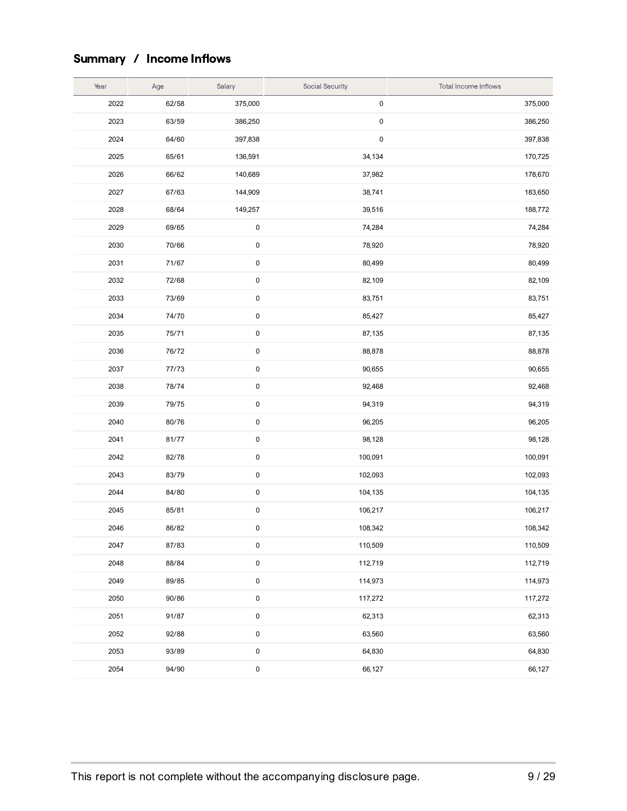## Summary / Income Inflows

| Year | Age   | Salary    | Social Security | Total Income Inflows |
|------|-------|-----------|-----------------|----------------------|
| 2022 | 62/58 | 375,000   | $\pmb{0}$       | 375,000              |
| 2023 | 63/59 | 386,250   | $\pmb{0}$       | 386,250              |
| 2024 | 64/60 | 397,838   | $\pmb{0}$       | 397,838              |
| 2025 | 65/61 | 136,591   | 34,134          | 170,725              |
| 2026 | 66/62 | 140,689   | 37,982          | 178,670              |
| 2027 | 67/63 | 144,909   | 38,741          | 183,650              |
| 2028 | 68/64 | 149,257   | 39,516          | 188,772              |
| 2029 | 69/65 | $\pmb{0}$ | 74,284          | 74,284               |
| 2030 | 70/66 | 0         | 78,920          | 78,920               |
| 2031 | 71/67 | 0         | 80,499          | 80,499               |
| 2032 | 72/68 | 0         | 82,109          | 82,109               |
| 2033 | 73/69 | $\pmb{0}$ | 83,751          | 83,751               |
| 2034 | 74/70 | 0         | 85,427          | 85,427               |
| 2035 | 75/71 | 0         | 87,135          | 87,135               |
| 2036 | 76/72 | 0         | 88,878          | 88,878               |
| 2037 | 77/73 | 0         | 90,655          | 90,655               |
| 2038 | 78/74 | 0         | 92,468          | 92,468               |
| 2039 | 79/75 | 0         | 94,319          | 94,319               |
| 2040 | 80/76 | $\pmb{0}$ | 96,205          | 96,205               |
| 2041 | 81/77 | $\pmb{0}$ | 98,128          | 98,128               |
| 2042 | 82/78 | $\pmb{0}$ | 100,091         | 100,091              |
| 2043 | 83/79 | 0         | 102,093         | 102,093              |
| 2044 | 84/80 | 0         | 104,135         | 104,135              |
| 2045 | 85/81 | 0         | 106,217         | 106,217              |
| 2046 | 86/82 | 0         | 108,342         | 108,342              |
| 2047 | 87/83 | 0         | 110,509         | 110,509              |
| 2048 | 88/84 | 0         | 112,719         | 112,719              |
| 2049 | 89/85 | $\pmb{0}$ | 114,973         | 114,973              |
| 2050 | 90/86 | $\pmb{0}$ | 117,272         | 117,272              |
| 2051 | 91/87 | 0         | 62,313          | 62,313               |
| 2052 | 92/88 | $\pmb{0}$ | 63,560          | 63,560               |
| 2053 | 93/89 | $\pmb{0}$ | 64,830          | 64,830               |
| 2054 | 94/90 | 0         | 66,127          | 66,127               |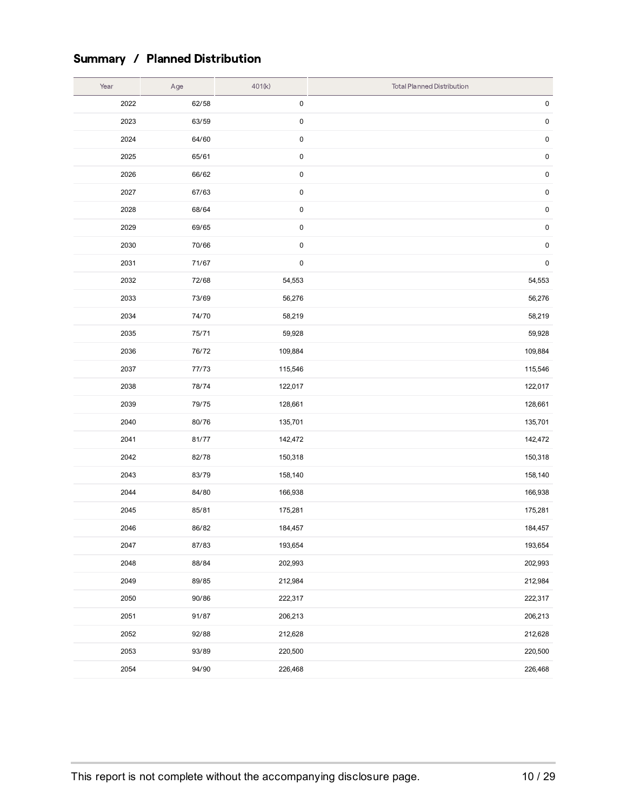### Summary / Planned Distribution

| Year | Age   | 401(k)    | <b>Total Planned Distribution</b> |
|------|-------|-----------|-----------------------------------|
| 2022 | 62/58 | 0         | $\pmb{0}$                         |
| 2023 | 63/59 | $\pmb{0}$ | $\pmb{0}$                         |
| 2024 | 64/60 | $\pmb{0}$ | $\pmb{0}$                         |
| 2025 | 65/61 | $\pmb{0}$ | $\pmb{0}$                         |
| 2026 | 66/62 | $\pmb{0}$ | $\pmb{0}$                         |
| 2027 | 67/63 | $\pmb{0}$ | $\pmb{0}$                         |
| 2028 | 68/64 | $\pmb{0}$ | $\pmb{0}$                         |
| 2029 | 69/65 | $\pmb{0}$ | $\pmb{0}$                         |
| 2030 | 70/66 | $\pmb{0}$ | $\pmb{0}$                         |
| 2031 | 71/67 | $\pmb{0}$ | $\pmb{0}$                         |
| 2032 | 72/68 | 54,553    | 54,553                            |
| 2033 | 73/69 | 56,276    | 56,276                            |
| 2034 | 74/70 | 58,219    | 58,219                            |
| 2035 | 75/71 | 59,928    | 59,928                            |
| 2036 | 76/72 | 109,884   | 109,884                           |
| 2037 | 77/73 | 115,546   | 115,546                           |
| 2038 | 78/74 | 122,017   | 122,017                           |
| 2039 | 79/75 | 128,661   | 128,661                           |
| 2040 | 80/76 | 135,701   | 135,701                           |
| 2041 | 81/77 | 142,472   | 142,472                           |
| 2042 | 82/78 | 150,318   | 150,318                           |
| 2043 | 83/79 | 158,140   | 158,140                           |
| 2044 | 84/80 | 166,938   | 166,938                           |
| 2045 | 85/81 | 175,281   | 175,281                           |
| 2046 | 86/82 | 184,457   | 184,457                           |
| 2047 | 87/83 | 193,654   | 193,654                           |
| 2048 | 88/84 | 202,993   | 202,993                           |
| 2049 | 89/85 | 212,984   | 212,984                           |
| 2050 | 90/86 | 222,317   | 222,317                           |
| 2051 | 91/87 | 206,213   | 206,213                           |
| 2052 | 92/88 | 212,628   | 212,628                           |
| 2053 | 93/89 | 220,500   | 220,500                           |
| 2054 | 94/90 | 226,468   | 226,468                           |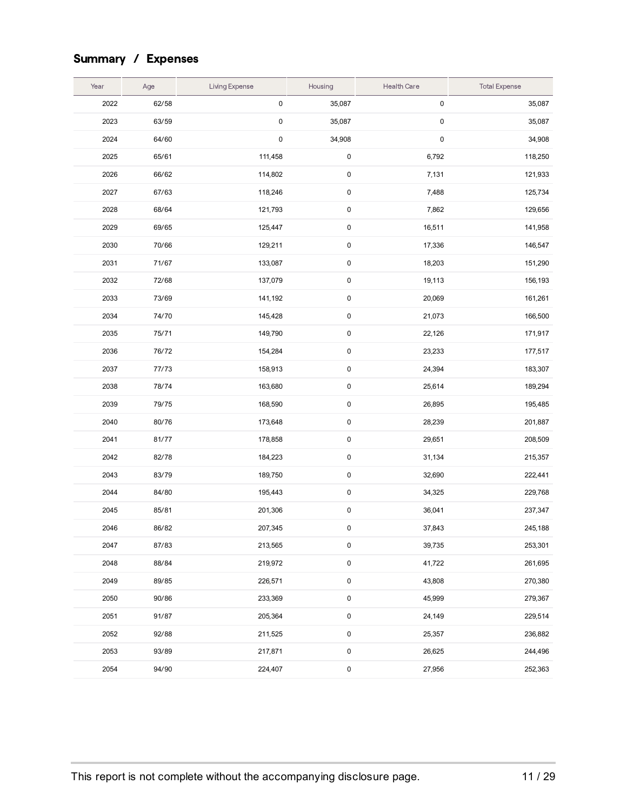## Summary / Expenses

| Year | Age   | Living Expense | Housing             | <b>Health Care</b>  | <b>Total Expense</b> |
|------|-------|----------------|---------------------|---------------------|----------------------|
| 2022 | 62/58 | $\pmb{0}$      | 35,087              | $\mathsf{O}\xspace$ | 35,087               |
| 2023 | 63/59 | $\pmb{0}$      | 35,087              | $\pmb{0}$           | 35,087               |
| 2024 | 64/60 | $\pmb{0}$      | 34,908              | $\pmb{0}$           | 34,908               |
| 2025 | 65/61 | 111,458        | 0                   | 6,792               | 118,250              |
| 2026 | 66/62 | 114,802        | $\pmb{0}$           | 7,131               | 121,933              |
| 2027 | 67/63 | 118,246        | 0                   | 7,488               | 125,734              |
| 2028 | 68/64 | 121,793        | 0                   | 7,862               | 129,656              |
| 2029 | 69/65 | 125,447        | 0                   | 16,511              | 141,958              |
| 2030 | 70/66 | 129,211        | 0                   | 17,336              | 146,547              |
| 2031 | 71/67 | 133,087        | $\pmb{0}$           | 18,203              | 151,290              |
| 2032 | 72/68 | 137,079        | 0                   | 19,113              | 156,193              |
| 2033 | 73/69 | 141,192        | $\pmb{0}$           | 20,069              | 161,261              |
| 2034 | 74/70 | 145,428        | 0                   | 21,073              | 166,500              |
| 2035 | 75/71 | 149,790        | $\pmb{0}$           | 22,126              | 171,917              |
| 2036 | 76/72 | 154,284        | 0                   | 23,233              | 177,517              |
| 2037 | 77/73 | 158,913        | 0                   | 24,394              | 183,307              |
| 2038 | 78/74 | 163,680        | 0                   | 25,614              | 189,294              |
| 2039 | 79/75 | 168,590        | 0                   | 26,895              | 195,485              |
| 2040 | 80/76 | 173,648        | $\pmb{0}$           | 28,239              | 201,887              |
| 2041 | 81/77 | 178,858        | $\pmb{0}$           | 29,651              | 208,509              |
| 2042 | 82/78 | 184,223        | $\pmb{0}$           | 31,134              | 215,357              |
| 2043 | 83/79 | 189,750        | 0                   | 32,690              | 222,441              |
| 2044 | 84/80 | 195,443        | 0                   | 34,325              | 229,768              |
| 2045 | 85/81 | 201,306        | $\pmb{0}$           | 36,041              | 237,347              |
| 2046 | 86/82 | 207,345        | 0                   | 37,843              | 245,188              |
| 2047 | 87/83 | 213,565        | 0                   | 39,735              | 253,301              |
| 2048 | 88/84 | 219,972        | $\pmb{0}$           | 41,722              | 261,695              |
| 2049 | 89/85 | 226,571        | $\pmb{0}$           | 43,808              | 270,380              |
| 2050 | 90/86 | 233,369        | $\pmb{0}$           | 45,999              | 279,367              |
| 2051 | 91/87 | 205,364        | $\mathsf{O}\xspace$ | 24,149              | 229,514              |
| 2052 | 92/88 | 211,525        | $\mathsf{O}\xspace$ | 25,357              | 236,882              |
| 2053 | 93/89 | 217,871        | $\pmb{0}$           | 26,625              | 244,496              |
| 2054 | 94/90 | 224,407        | $\pmb{0}$           | 27,956              | 252,363              |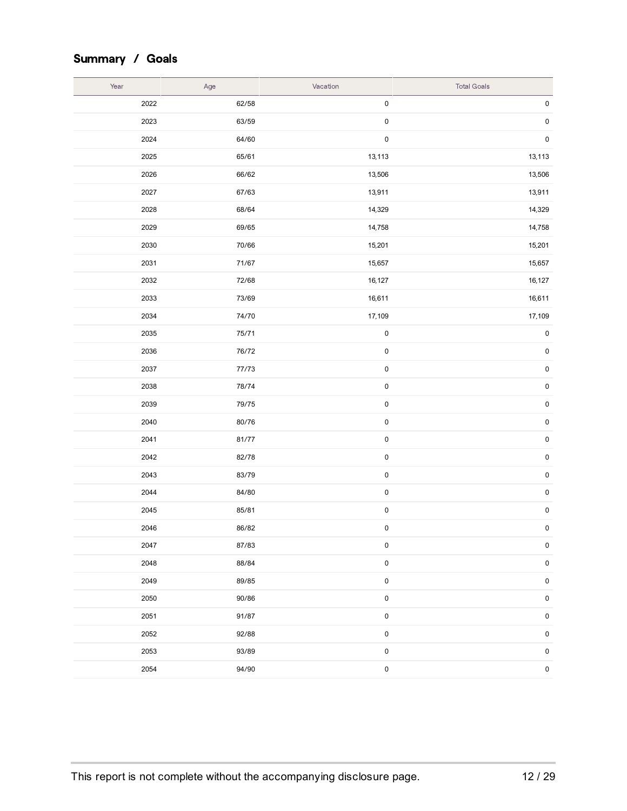## Summary / Goals

| Year | Age   | Vacation    | <b>Total Goals</b> |
|------|-------|-------------|--------------------|
| 2022 | 62/58 | $\pmb{0}$   | $\pmb{0}$          |
| 2023 | 63/59 | $\pmb{0}$   | $\pmb{0}$          |
| 2024 | 64/60 | $\pmb{0}$   | $\pmb{0}$          |
| 2025 | 65/61 | 13,113      | 13,113             |
| 2026 | 66/62 | 13,506      | 13,506             |
| 2027 | 67/63 | 13,911      | 13,911             |
| 2028 | 68/64 | 14,329      | 14,329             |
| 2029 | 69/65 | 14,758      | 14,758             |
| 2030 | 70/66 | 15,201      | 15,201             |
| 2031 | 71/67 | 15,657      | 15,657             |
| 2032 | 72/68 | 16,127      | 16,127             |
| 2033 | 73/69 | 16,611      | 16,611             |
| 2034 | 74/70 | 17,109      | 17,109             |
| 2035 | 75/71 | $\pmb{0}$   | $\pmb{0}$          |
| 2036 | 76/72 | $\pmb{0}$   | $\pmb{0}$          |
| 2037 | 77/73 | $\pmb{0}$   | $\pmb{0}$          |
| 2038 | 78/74 | $\pmb{0}$   | $\pmb{0}$          |
| 2039 | 79/75 | $\pmb{0}$   | $\pmb{0}$          |
| 2040 | 80/76 | $\pmb{0}$   | $\pmb{0}$          |
| 2041 | 81/77 | $\pmb{0}$   | $\pmb{0}$          |
| 2042 | 82/78 | $\pmb{0}$   | $\pmb{0}$          |
| 2043 | 83/79 | $\pmb{0}$   | $\pmb{0}$          |
| 2044 | 84/80 | $\pmb{0}$   | $\pmb{0}$          |
| 2045 | 85/81 | $\pmb{0}$   | $\pmb{0}$          |
| 2046 | 86/82 | $\pmb{0}$   | $\pmb{0}$          |
| 2047 | 87/83 | $\pmb{0}$   | $\pmb{0}$          |
| 2048 | 88/84 | $\pmb{0}$   | $\pmb{0}$          |
| 2049 | 89/85 | $\pmb{0}$   | $\pmb{0}$          |
| 2050 | 90/86 | $\pmb{0}$   | $\pmb{0}$          |
| 2051 | 91/87 | $\pmb{0}$   | $\pmb{0}$          |
| 2052 | 92/88 | $\pmb{0}$   | $\pmb{0}$          |
| 2053 | 93/89 | $\pmb{0}$   | $\mathsf 0$        |
| 2054 | 94/90 | $\mathbf 0$ | $\pmb{0}$          |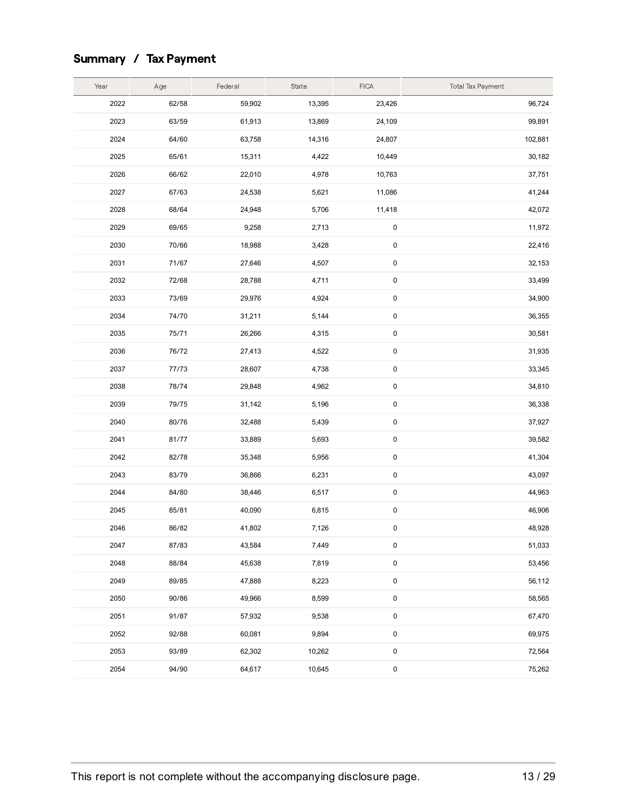## Summary / Tax Payment

| Year | Age   | Federal | State  | <b>FICA</b> | <b>Total Tax Payment</b> |
|------|-------|---------|--------|-------------|--------------------------|
| 2022 | 62/58 | 59,902  | 13,395 | 23,426      | 96,724                   |
| 2023 | 63/59 | 61,913  | 13,869 | 24,109      | 99,891                   |
| 2024 | 64/60 | 63,758  | 14,316 | 24,807      | 102,881                  |
| 2025 | 65/61 | 15,311  | 4,422  | 10,449      | 30,182                   |
| 2026 | 66/62 | 22,010  | 4,978  | 10,763      | 37,751                   |
| 2027 | 67/63 | 24,538  | 5,621  | 11,086      | 41,244                   |
| 2028 | 68/64 | 24,948  | 5,706  | 11,418      | 42,072                   |
| 2029 | 69/65 | 9,258   | 2,713  | 0           | 11,972                   |
| 2030 | 70/66 | 18,988  | 3,428  | 0           | 22,416                   |
| 2031 | 71/67 | 27,646  | 4,507  | 0           | 32,153                   |
| 2032 | 72/68 | 28,788  | 4,711  | 0           | 33,499                   |
| 2033 | 73/69 | 29,976  | 4,924  | 0           | 34,900                   |
| 2034 | 74/70 | 31,211  | 5,144  | 0           | 36,355                   |
| 2035 | 75/71 | 26,266  | 4,315  | 0           | 30,581                   |
| 2036 | 76/72 | 27,413  | 4,522  | 0           | 31,935                   |
| 2037 | 77/73 | 28,607  | 4,738  | 0           | 33,345                   |
| 2038 | 78/74 | 29,848  | 4,962  | 0           | 34,810                   |
| 2039 | 79/75 | 31,142  | 5,196  | 0           | 36,338                   |
| 2040 | 80/76 | 32,488  | 5,439  | 0           | 37,927                   |
| 2041 | 81/77 | 33,889  | 5,693  | 0           | 39,582                   |
| 2042 | 82/78 | 35,348  | 5,956  | 0           | 41,304                   |
| 2043 | 83/79 | 36,866  | 6,231  | 0           | 43,097                   |
| 2044 | 84/80 | 38,446  | 6,517  | 0           | 44,963                   |
| 2045 | 85/81 | 40,090  | 6,815  | 0           | 46,906                   |
| 2046 | 86/82 | 41,802  | 7,126  | 0           | 48,928                   |
| 2047 | 87/83 | 43,584  | 7,449  | 0           | 51,033                   |
| 2048 | 88/84 | 45,638  | 7,819  | 0           | 53,456                   |
| 2049 | 89/85 | 47,888  | 8,223  | 0           | 56,112                   |
| 2050 | 90/86 | 49,966  | 8,599  | 0           | 58,565                   |
| 2051 | 91/87 | 57,932  | 9,538  | 0           | 67,470                   |
| 2052 | 92/88 | 60,081  | 9,894  | 0           | 69,975                   |
| 2053 | 93/89 | 62,302  | 10,262 | 0           | 72,564                   |
| 2054 | 94/90 | 64,617  | 10,645 | 0           | 75,262                   |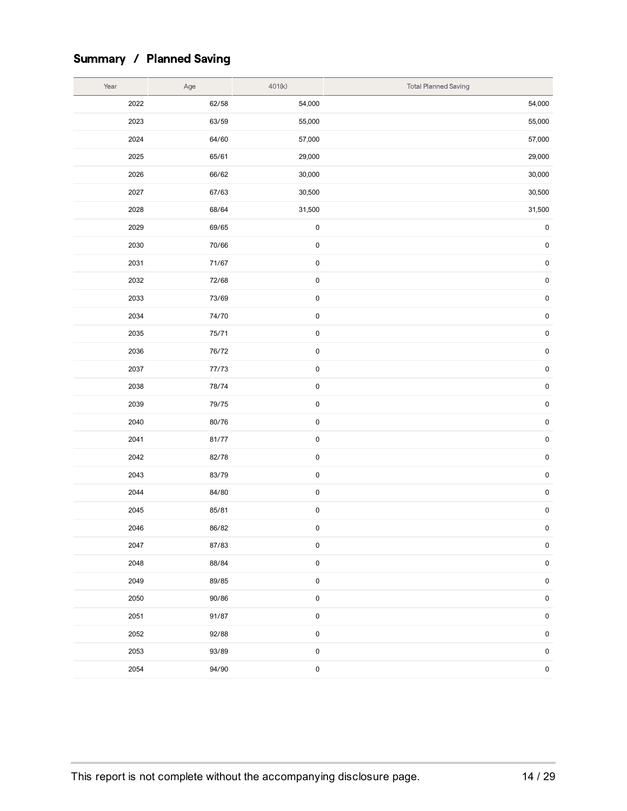## Summary / Planned Saving

| Year | Age   | 401(k)      | <b>Total Planned Saving</b> |
|------|-------|-------------|-----------------------------|
| 2022 | 62/58 | 54,000      | 54,000                      |
| 2023 | 63/59 | 55,000      | 55,000                      |
| 2024 | 64/60 | 57,000      | 57,000                      |
| 2025 | 65/61 | 29,000      | 29,000                      |
| 2026 | 66/62 | 30,000      | 30,000                      |
| 2027 | 67/63 | 30,500      | 30,500                      |
| 2028 | 68/64 | 31,500      | 31,500                      |
| 2029 | 69/65 | $\pmb{0}$   | $\pmb{0}$                   |
| 2030 | 70/66 | $\mathbf 0$ | $\pmb{0}$                   |
| 2031 | 71/67 | $\pmb{0}$   | $\pmb{0}$                   |
| 2032 | 72/68 | $\pmb{0}$   | $\pmb{0}$                   |
| 2033 | 73/69 | $\pmb{0}$   | $\pmb{0}$                   |
| 2034 | 74/70 | $\pmb{0}$   | $\pmb{0}$                   |
| 2035 | 75/71 | $\pmb{0}$   | $\pmb{0}$                   |
| 2036 | 76/72 | $\pmb{0}$   | $\pmb{0}$                   |
| 2037 | 77/73 | $\pmb{0}$   | $\pmb{0}$                   |
| 2038 | 78/74 | $\pmb{0}$   | $\pmb{0}$                   |
| 2039 | 79/75 | $\pmb{0}$   | $\pmb{0}$                   |
| 2040 | 80/76 | $\pmb{0}$   | $\pmb{0}$                   |
| 2041 | 81/77 | $\pmb{0}$   | $\pmb{0}$                   |
| 2042 | 82/78 | $\pmb{0}$   | $\pmb{0}$                   |
| 2043 | 83/79 | $\bf{0}$    | $\pmb{0}$                   |
| 2044 | 84/80 | $\mathbf 0$ | $\pmb{0}$                   |
| 2045 | 85/81 | $\pmb{0}$   | $\pmb{0}$                   |
| 2046 | 86/82 | $\pmb{0}$   | $\pmb{0}$                   |
| 2047 | 87/83 | 0           | $\mathbf 0$                 |
| 2048 | 88/84 | $\pmb{0}$   | $\mathbf 0$                 |
| 2049 | 89/85 | $\pmb{0}$   | $\mathbf 0$                 |
| 2050 | 90/86 | $\pmb{0}$   | $\mathbf 0$                 |
| 2051 | 91/87 | $\pmb{0}$   | $\mathbf 0$                 |
| 2052 | 92/88 | $\pmb{0}$   | $\mathbf 0$                 |
| 2053 | 93/89 | $\pmb{0}$   | $\mathbf 0$                 |
| 2054 | 94/90 | $\pmb{0}$   | $\mathbf 0$                 |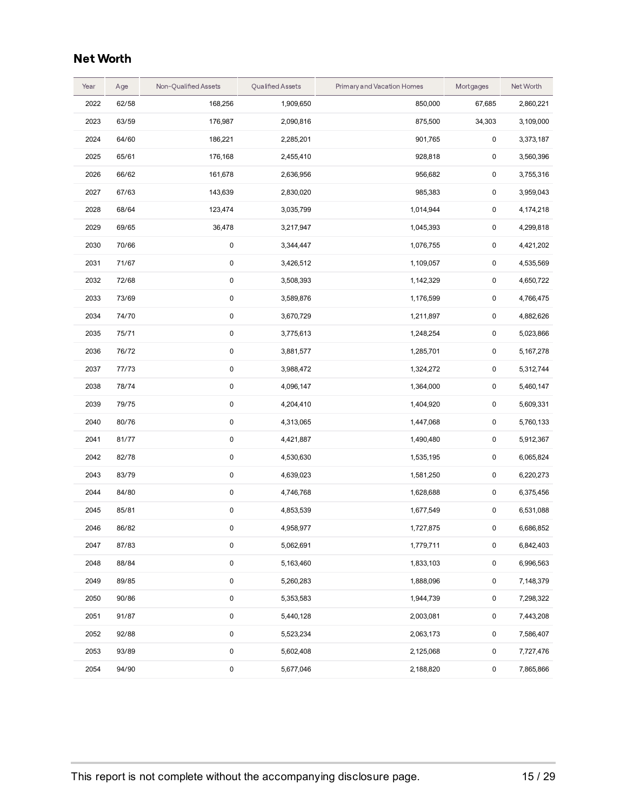### **Net Worth**

| Year | Age   | Non-Qualified Assets | <b>Qualified Assets</b> | Primary and Vacation Homes | Mortgages           | Net Worth |
|------|-------|----------------------|-------------------------|----------------------------|---------------------|-----------|
| 2022 | 62/58 | 168,256              | 1,909,650               | 850,000                    | 67,685              | 2,860,221 |
| 2023 | 63/59 | 176,987              | 2,090,816               | 875,500                    | 34,303              | 3,109,000 |
| 2024 | 64/60 | 186,221              | 2,285,201               | 901,765                    | 0                   | 3,373,187 |
| 2025 | 65/61 | 176,168              | 2,455,410               | 928,818                    | $\pmb{0}$           | 3,560,396 |
| 2026 | 66/62 | 161,678              | 2,636,956               | 956,682                    | $\pmb{0}$           | 3,755,316 |
| 2027 | 67/63 | 143,639              | 2,830,020               | 985,383                    | $\pmb{0}$           | 3,959,043 |
| 2028 | 68/64 | 123,474              | 3,035,799               | 1,014,944                  | $\pmb{0}$           | 4,174,218 |
| 2029 | 69/65 | 36,478               | 3,217,947               | 1,045,393                  | $\pmb{0}$           | 4,299,818 |
| 2030 | 70/66 | 0                    | 3,344,447               | 1,076,755                  | $\pmb{0}$           | 4,421,202 |
| 2031 | 71/67 | $\pmb{0}$            | 3,426,512               | 1,109,057                  | $\pmb{0}$           | 4,535,569 |
| 2032 | 72/68 | 0                    | 3,508,393               | 1,142,329                  | $\pmb{0}$           | 4,650,722 |
| 2033 | 73/69 | 0                    | 3,589,876               | 1,176,599                  | 0                   | 4,766,475 |
| 2034 | 74/70 | 0                    | 3,670,729               | 1,211,897                  | $\pmb{0}$           | 4,882,626 |
| 2035 | 75/71 | 0                    | 3,775,613               | 1,248,254                  | $\pmb{0}$           | 5,023,866 |
| 2036 | 76/72 | 0                    | 3,881,577               | 1,285,701                  | 0                   | 5,167,278 |
| 2037 | 77/73 | 0                    | 3,988,472               | 1,324,272                  | 0                   | 5,312,744 |
| 2038 | 78/74 | $\pmb{0}$            | 4,096,147               | 1,364,000                  | $\pmb{0}$           | 5,460,147 |
| 2039 | 79/75 | 0                    | 4,204,410               | 1,404,920                  | $\pmb{0}$           | 5,609,331 |
| 2040 | 80/76 | 0                    | 4,313,065               | 1,447,068                  | $\pmb{0}$           | 5,760,133 |
| 2041 | 81/77 | 0                    | 4,421,887               | 1,490,480                  | 0                   | 5,912,367 |
| 2042 | 82/78 | 0                    | 4,530,630               | 1,535,195                  | 0                   | 6,065,824 |
| 2043 | 83/79 | 0                    | 4,639,023               | 1,581,250                  | $\pmb{0}$           | 6,220,273 |
| 2044 | 84/80 | 0                    | 4,746,768               | 1,628,688                  | $\pmb{0}$           | 6,375,456 |
| 2045 | 85/81 | 0                    | 4,853,539               | 1,677,549                  | 0                   | 6,531,088 |
| 2046 | 86/82 | 0                    | 4,958,977               | 1,727,875                  | 0                   | 6,686,852 |
| 2047 | 87/83 | 0                    | 5,062,691               | 1,779,711                  | $\pmb{0}$           | 6,842,403 |
| 2048 | 88/84 | $\pmb{0}$            | 5,163,460               | 1,833,103                  | $\mathsf 0$         | 6,996,563 |
| 2049 | 89/85 | 0                    | 5,260,283               | 1,888,096                  | $\mathsf 0$         | 7,148,379 |
| 2050 | 90/86 | 0                    | 5,353,583               | 1,944,739                  | $\mathsf 0$         | 7,298,322 |
| 2051 | 91/87 | 0                    | 5,440,128               | 2,003,081                  | $\mathsf 0$         | 7,443,208 |
| 2052 | 92/88 | 0                    | 5,523,234               | 2,063,173                  | $\mathsf 0$         | 7,586,407 |
| 2053 | 93/89 | 0                    | 5,602,408               | 2,125,068                  | $\mathsf{O}\xspace$ | 7,727,476 |
| 2054 | 94/90 | 0                    | 5,677,046               | 2,188,820                  | $\mathsf 0$         | 7,865,866 |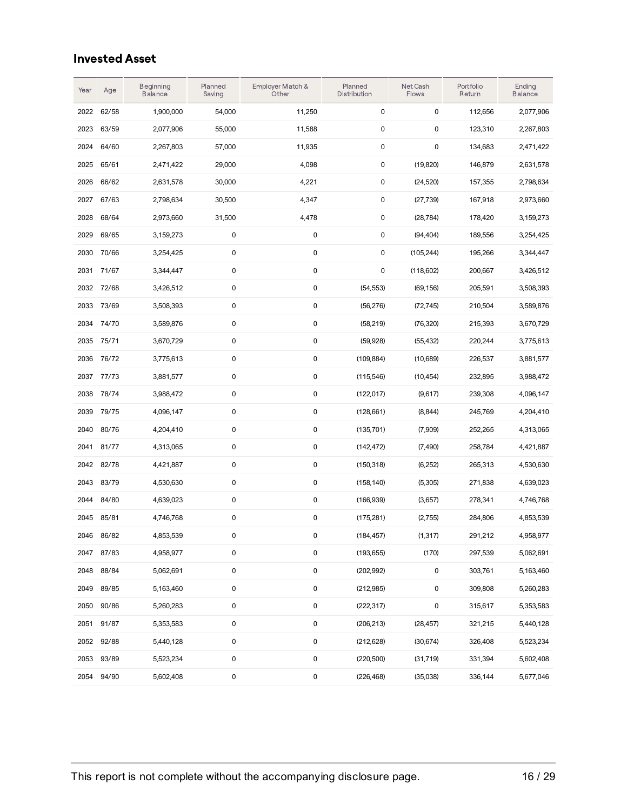### Invested Asset

| Year | Age        | Beginning<br><b>Balance</b> | Planned<br>Saving | Employer Match &<br>Other | Planned<br>Distribution | Net Cash<br>Flows | Portfolio<br>Return | Ending<br><b>Balance</b> |
|------|------------|-----------------------------|-------------------|---------------------------|-------------------------|-------------------|---------------------|--------------------------|
| 2022 | 62/58      | 1,900,000                   | 54,000            | 11,250                    | 0                       | 0                 | 112,656             | 2,077,906                |
| 2023 | 63/59      | 2,077,906                   | 55,000            | 11,588                    | 0                       | $\pmb{0}$         | 123,310             | 2,267,803                |
| 2024 | 64/60      | 2,267,803                   | 57,000            | 11,935                    | 0                       | $\pmb{0}$         | 134,683             | 2,471,422                |
| 2025 | 65/61      | 2,471,422                   | 29,000            | 4,098                     | 0                       | (19, 820)         | 146,879             | 2,631,578                |
| 2026 | 66/62      | 2,631,578                   | 30,000            | 4,221                     | 0                       | (24, 520)         | 157,355             | 2,798,634                |
| 2027 | 67/63      | 2,798,634                   | 30,500            | 4,347                     | 0                       | (27, 739)         | 167,918             | 2,973,660                |
| 2028 | 68/64      | 2,973,660                   | 31,500            | 4,478                     | 0                       | (28, 784)         | 178,420             | 3,159,273                |
| 2029 | 69/65      | 3,159,273                   | 0                 | 0                         | 0                       | (94, 404)         | 189,556             | 3,254,425                |
| 2030 | 70/66      | 3,254,425                   | 0                 | 0                         | 0                       | (105, 244)        | 195,266             | 3,344,447                |
| 2031 | 71/67      | 3,344,447                   | 0                 | 0                         | 0                       | (118,602)         | 200,667             | 3,426,512                |
| 2032 | 72/68      | 3,426,512                   | 0                 | 0                         | (54, 553)               | (69, 156)         | 205,591             | 3,508,393                |
| 2033 | 73/69      | 3,508,393                   | 0                 | 0                         | (56, 276)               | (72, 745)         | 210,504             | 3,589,876                |
| 2034 | 74/70      | 3,589,876                   | 0                 | 0                         | (58, 219)               | (76, 320)         | 215,393             | 3,670,729                |
| 2035 | 75/71      | 3,670,729                   | 0                 | 0                         | (59.928)                | (55, 432)         | 220,244             | 3,775,613                |
| 2036 | 76/72      | 3,775,613                   | $\pmb{0}$         | $\pmb{0}$                 | (109, 884)              | (10,689)          | 226,537             | 3,881,577                |
| 2037 | 77/73      | 3,881,577                   | 0                 | 0                         | (115,546)               | (10, 454)         | 232,895             | 3,988,472                |
| 2038 | 78/74      | 3,988,472                   | $\pmb{0}$         | $\pmb{0}$                 | (122, 017)              | (9,617)           | 239,308             | 4,096,147                |
| 2039 | 79/75      | 4,096,147                   | 0                 | 0                         | (128,661)               | (8,844)           | 245,769             | 4,204,410                |
| 2040 | 80/76      | 4,204,410                   | 0                 | $\pmb{0}$                 | (135,701)               | (7,909)           | 252,265             | 4,313,065                |
| 2041 | 81/77      | 4,313,065                   | 0                 | 0                         | (142, 472)              | (7, 490)          | 258,784             | 4,421,887                |
| 2042 | 82/78      | 4,421,887                   | 0                 | 0                         | (150, 318)              | (6,252)           | 265,313             | 4,530,630                |
| 2043 | 83/79      | 4,530,630                   | 0                 | 0                         | (158, 140)              | (5,305)           | 271,838             | 4,639,023                |
| 2044 | 84/80      | 4,639,023                   | 0                 | 0                         | (166, 939)              | (3,657)           | 278,341             | 4,746,768                |
| 2045 | 85/81      | 4,746,768                   | 0                 | 0                         | (175, 281)              | (2,755)           | 284,806             | 4,853,539                |
| 2046 | 86/82      | 4,853,539                   | 0                 | 0                         | (184, 457)              | (1, 317)          | 291,212             | 4,958,977                |
|      | 2047 87/83 | 4,958,977                   | 0                 | 0                         | (193, 655)              | (170)             | 297,539             | 5,062,691                |
|      | 2048 88/84 | 5,062,691                   | 0                 | 0                         | (202, 992)              | 0                 | 303,761             | 5,163,460                |
|      | 2049 89/85 | 5,163,460                   | 0                 | 0                         | (212,985)               | 0                 | 309,808             | 5,260,283                |
| 2050 | 90/86      | 5,260,283                   | 0                 | 0                         | (222, 317)              | 0                 | 315,617             | 5,353,583                |
| 2051 | 91/87      | 5,353,583                   | 0                 | 0                         | (206, 213)              | (28, 457)         | 321,215             | 5,440,128                |
|      | 2052 92/88 | 5,440,128                   | 0                 | 0                         | (212, 628)              | (30,674)          | 326,408             | 5,523,234                |
| 2053 | 93/89      | 5,523,234                   | 0                 | 0                         | (220, 500)              | (31, 719)         | 331,394             | 5,602,408                |
| 2054 | 94/90      | 5,602,408                   | 0                 | 0                         | (226, 468)              | (35,038)          | 336,144             | 5,677,046                |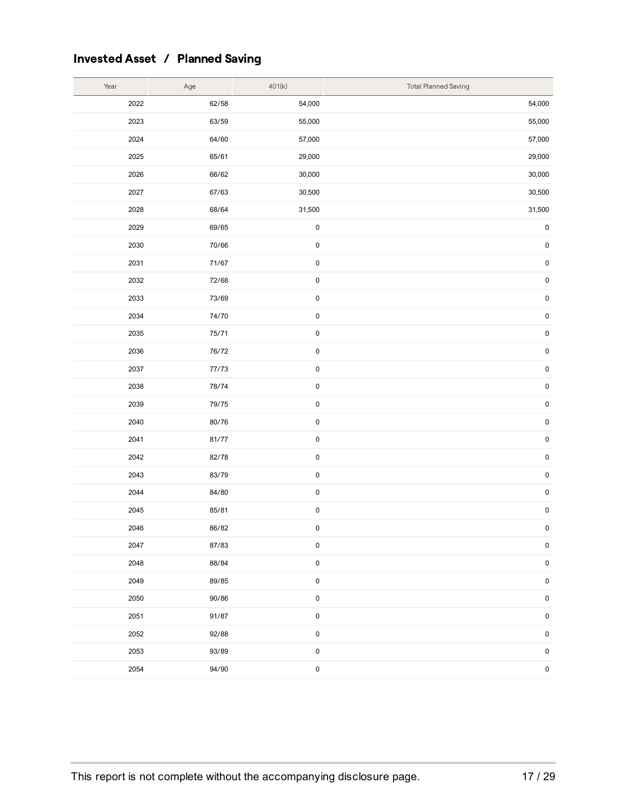## Invested Asset / Planned Saving

| Year | Age   | 401(k)      | <b>Total Planned Saving</b> |
|------|-------|-------------|-----------------------------|
| 2022 | 62/58 | 54,000      | 54,000                      |
| 2023 | 63/59 | 55,000      | 55,000                      |
| 2024 | 64/60 | 57,000      | 57,000                      |
| 2025 | 65/61 | 29,000      | 29,000                      |
| 2026 | 66/62 | 30,000      | 30,000                      |
| 2027 | 67/63 | 30,500      | 30,500                      |
| 2028 | 68/64 | 31,500      | 31,500                      |
| 2029 | 69/65 | $\pmb{0}$   | $\pmb{0}$                   |
| 2030 | 70/66 | $\pmb{0}$   | $\pmb{0}$                   |
| 2031 | 71/67 | $\mathbf 0$ | $\pmb{0}$                   |
| 2032 | 72/68 | $\pmb{0}$   | $\pmb{0}$                   |
| 2033 | 73/69 | $\pmb{0}$   | $\pmb{0}$                   |
| 2034 | 74/70 | $\pmb{0}$   | $\pmb{0}$                   |
| 2035 | 75/71 | $\mathbf 0$ | $\pmb{0}$                   |
| 2036 | 76/72 | $\bf{0}$    | $\pmb{0}$                   |
| 2037 | 77/73 | $\mathbf 0$ | $\pmb{0}$                   |
| 2038 | 78/74 | $\pmb{0}$   | $\pmb{0}$                   |
| 2039 | 79/75 | $\mathbf 0$ | $\pmb{0}$                   |
| 2040 | 80/76 | $\pmb{0}$   | $\pmb{0}$                   |
| 2041 | 81/77 | $\bf{0}$    | $\pmb{0}$                   |
| 2042 | 82/78 | $\pmb{0}$   | $\pmb{0}$                   |
| 2043 | 83/79 | $\mathbf 0$ | $\pmb{0}$                   |
| 2044 | 84/80 | $\pmb{0}$   | $\pmb{0}$                   |
| 2045 | 85/81 | $\pmb{0}$   | $\pmb{0}$                   |
| 2046 | 86/82 | $\pmb{0}$   | $\pmb{0}$                   |
| 2047 | 87/83 | 0           | $\pmb{0}$                   |
| 2048 | 88/84 | $\pmb{0}$   | $\pmb{0}$                   |
| 2049 | 89/85 | $\pmb{0}$   | $\pmb{0}$                   |
| 2050 | 90/86 | $\pmb{0}$   | $\mathbf 0$                 |
| 2051 | 91/87 | $\pmb{0}$   | $\mathbf 0$                 |
| 2052 | 92/88 | $\pmb{0}$   | $\pmb{0}$                   |
| 2053 | 93/89 | $\pmb{0}$   | $\pmb{0}$                   |
| 2054 | 94/90 | $\pmb{0}$   | $\pmb{0}$                   |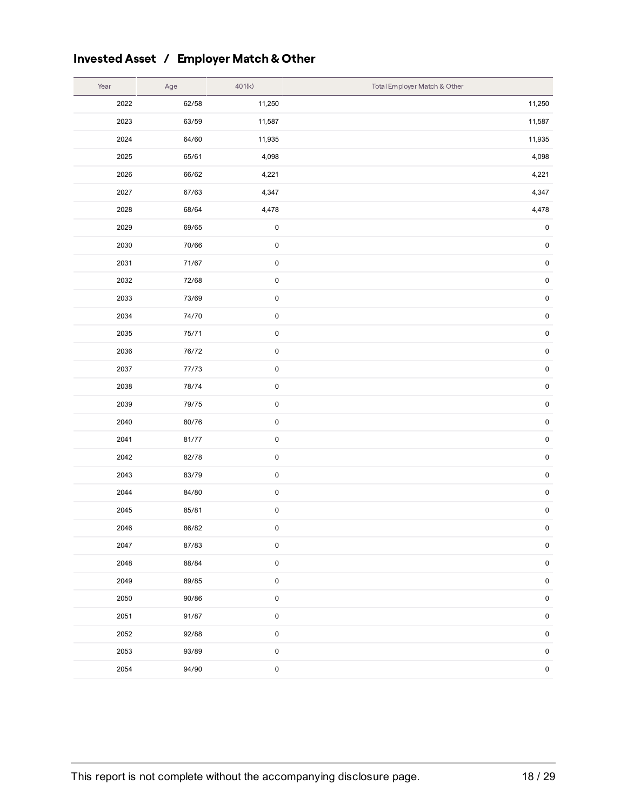## Invested Asset / Employer Match& Other

| Year | Age   | 401(k)              | Total Employer Match & Other |
|------|-------|---------------------|------------------------------|
| 2022 | 62/58 | 11,250              | 11,250                       |
| 2023 | 63/59 | 11,587              | 11,587                       |
| 2024 | 64/60 | 11,935              | 11,935                       |
| 2025 | 65/61 | 4,098               | 4,098                        |
| 2026 | 66/62 | 4,221               | 4,221                        |
| 2027 | 67/63 | 4,347               | 4,347                        |
| 2028 | 68/64 | 4,478               | 4,478                        |
| 2029 | 69/65 | $\pmb{0}$           | $\pmb{0}$                    |
| 2030 | 70/66 | $\pmb{0}$           | $\pmb{0}$                    |
| 2031 | 71/67 | $\pmb{0}$           | $\pmb{0}$                    |
| 2032 | 72/68 | $\pmb{0}$           | $\pmb{0}$                    |
| 2033 | 73/69 | $\pmb{0}$           | $\pmb{0}$                    |
| 2034 | 74/70 | $\pmb{0}$           | $\pmb{0}$                    |
| 2035 | 75/71 | $\pmb{0}$           | $\pmb{0}$                    |
| 2036 | 76/72 | $\pmb{0}$           | $\pmb{0}$                    |
| 2037 | 77/73 | $\mathbf 0$         | $\pmb{0}$                    |
| 2038 | 78/74 | $\pmb{0}$           | $\pmb{0}$                    |
| 2039 | 79/75 | $\pmb{0}$           | $\pmb{0}$                    |
| 2040 | 80/76 | $\mathsf{O}\xspace$ | $\pmb{0}$                    |
| 2041 | 81/77 | $\pmb{0}$           | $\pmb{0}$                    |
| 2042 | 82/78 | $\pmb{0}$           | $\pmb{0}$                    |
| 2043 | 83/79 | $\pmb{0}$           | $\pmb{0}$                    |
| 2044 | 84/80 | $\pmb{0}$           | $\pmb{0}$                    |
| 2045 | 85/81 | $\pmb{0}$           | $\pmb{0}$                    |
| 2046 | 86/82 | $\pmb{0}$           | $\pmb{0}$                    |
| 2047 | 87/83 | 0                   | $\pmb{0}$                    |
| 2048 | 88/84 | $\pmb{0}$           | $\pmb{0}$                    |
| 2049 | 89/85 | $\pmb{0}$           | $\pmb{0}$                    |
| 2050 | 90/86 | 0                   | $\pmb{0}$                    |
| 2051 | 91/87 | $\pmb{0}$           | $\pmb{0}$                    |
| 2052 | 92/88 | $\pmb{0}$           | $\pmb{0}$                    |
| 2053 | 93/89 | $\pmb{0}$           | $\pmb{0}$                    |
| 2054 | 94/90 | $\pmb{0}$           | $\pmb{0}$                    |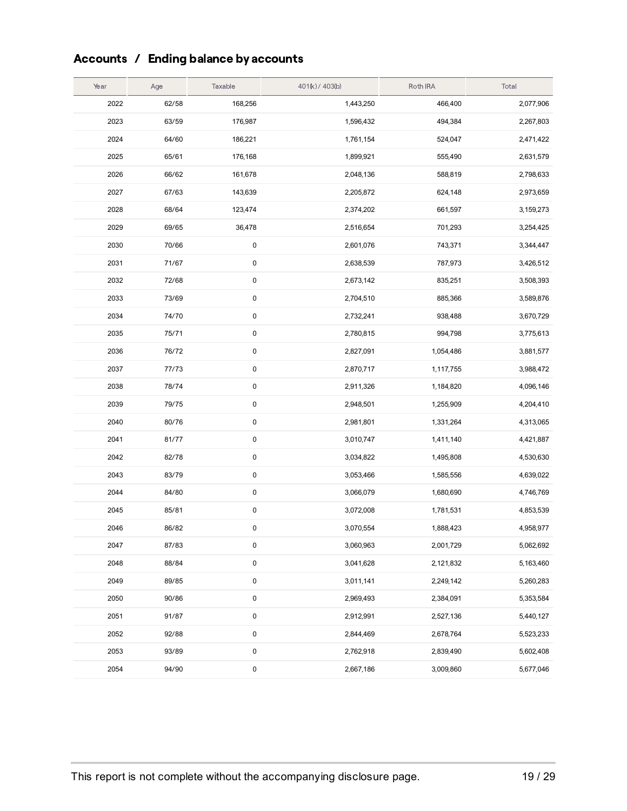## Accounts / Ending balance by accounts

| Year | Age   | Taxable   | 401(k) / 403(b) | Roth IRA  | Total     |
|------|-------|-----------|-----------------|-----------|-----------|
| 2022 | 62/58 | 168,256   | 1,443,250       | 466,400   | 2,077,906 |
| 2023 | 63/59 | 176,987   | 1,596,432       | 494,384   | 2,267,803 |
| 2024 | 64/60 | 186,221   | 1,761,154       | 524,047   | 2,471,422 |
| 2025 | 65/61 | 176,168   | 1,899,921       | 555,490   | 2,631,579 |
| 2026 | 66/62 | 161,678   | 2,048,136       | 588,819   | 2,798,633 |
| 2027 | 67/63 | 143,639   | 2,205,872       | 624,148   | 2,973,659 |
| 2028 | 68/64 | 123,474   | 2,374,202       | 661,597   | 3,159,273 |
| 2029 | 69/65 | 36,478    | 2,516,654       | 701,293   | 3,254,425 |
| 2030 | 70/66 | 0         | 2,601,076       | 743,371   | 3,344,447 |
| 2031 | 71/67 | $\pmb{0}$ | 2,638,539       | 787,973   | 3,426,512 |
| 2032 | 72/68 | $\pmb{0}$ | 2,673,142       | 835,251   | 3,508,393 |
| 2033 | 73/69 | $\pmb{0}$ | 2,704,510       | 885,366   | 3,589,876 |
| 2034 | 74/70 | $\pmb{0}$ | 2,732,241       | 938,488   | 3,670,729 |
| 2035 | 75/71 | $\pmb{0}$ | 2,780,815       | 994,798   | 3,775,613 |
| 2036 | 76/72 | $\pmb{0}$ | 2,827,091       | 1,054,486 | 3,881,577 |
| 2037 | 77/73 | $\pmb{0}$ | 2,870,717       | 1,117,755 | 3,988,472 |
| 2038 | 78/74 | $\pmb{0}$ | 2,911,326       | 1,184,820 | 4,096,146 |
| 2039 | 79/75 | $\pmb{0}$ | 2,948,501       | 1,255,909 | 4,204,410 |
| 2040 | 80/76 | $\pmb{0}$ | 2,981,801       | 1,331,264 | 4,313,065 |
| 2041 | 81/77 | $\pmb{0}$ | 3,010,747       | 1,411,140 | 4,421,887 |
| 2042 | 82/78 | $\pmb{0}$ | 3,034,822       | 1,495,808 | 4,530,630 |
| 2043 | 83/79 | $\pmb{0}$ | 3,053,466       | 1,585,556 | 4,639,022 |
| 2044 | 84/80 | $\pmb{0}$ | 3,066,079       | 1,680,690 | 4,746,769 |
| 2045 | 85/81 | $\pmb{0}$ | 3,072,008       | 1,781,531 | 4,853,539 |
| 2046 | 86/82 | 0         | 3,070,554       | 1,888,423 | 4,958,977 |
| 2047 | 87/83 | 0         | 3,060,963       | 2,001,729 | 5,062,692 |
| 2048 | 88/84 | $\pmb{0}$ | 3,041,628       | 2,121,832 | 5,163,460 |
| 2049 | 89/85 | $\pmb{0}$ | 3,011,141       | 2,249,142 | 5,260,283 |
| 2050 | 90/86 | $\pmb{0}$ | 2,969,493       | 2,384,091 | 5,353,584 |
| 2051 | 91/87 | $\pmb{0}$ | 2,912,991       | 2,527,136 | 5,440,127 |
| 2052 | 92/88 | $\pmb{0}$ | 2,844,469       | 2,678,764 | 5,523,233 |
| 2053 | 93/89 | $\pmb{0}$ | 2,762,918       | 2,839,490 | 5,602,408 |
| 2054 | 94/90 | $\pmb{0}$ | 2,667,186       | 3,009,860 | 5,677,046 |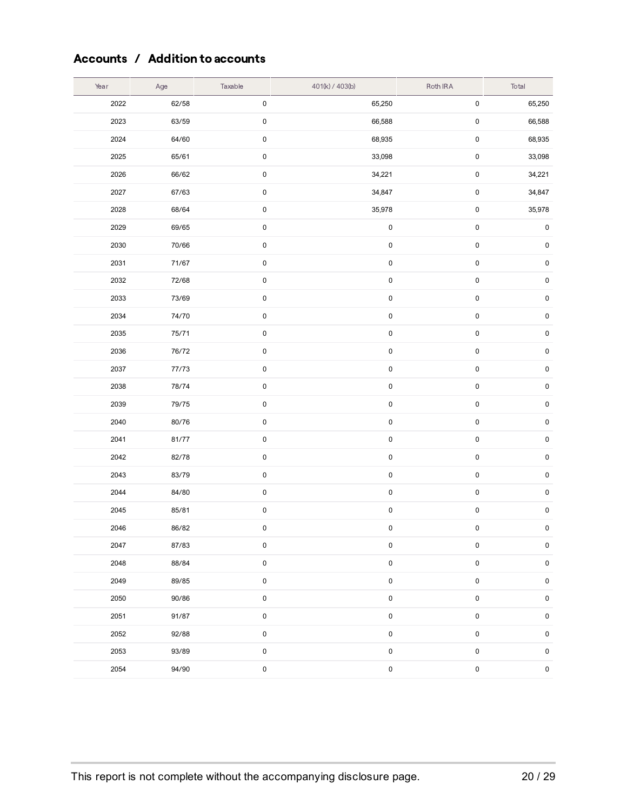### Accounts / Addition to accounts

| Year | Age   | Taxable             | 401(k) / 403(b) | Roth IRA    | Total     |
|------|-------|---------------------|-----------------|-------------|-----------|
| 2022 | 62/58 | 0                   | 65,250          | $\pmb{0}$   | 65,250    |
| 2023 | 63/59 | 0                   | 66,588          | $\pmb{0}$   | 66,588    |
| 2024 | 64/60 | $\pmb{0}$           | 68,935          | $\pmb{0}$   | 68,935    |
| 2025 | 65/61 | 0                   | 33,098          | $\pmb{0}$   | 33,098    |
| 2026 | 66/62 | $\pmb{0}$           | 34,221          | $\pmb{0}$   | 34,221    |
| 2027 | 67/63 | 0                   | 34,847          | $\pmb{0}$   | 34,847    |
| 2028 | 68/64 | 0                   | 35,978          | $\pmb{0}$   | 35,978    |
| 2029 | 69/65 | 0                   | $\pmb{0}$       | $\pmb{0}$   | $\pmb{0}$ |
| 2030 | 70/66 | $\pmb{0}$           | $\pmb{0}$       | $\pmb{0}$   | $\pmb{0}$ |
| 2031 | 71/67 | $\pmb{0}$           | $\pmb{0}$       | $\pmb{0}$   | $\pmb{0}$ |
| 2032 | 72/68 | $\pmb{0}$           | $\pmb{0}$       | $\pmb{0}$   | $\pmb{0}$ |
| 2033 | 73/69 | $\pmb{0}$           | $\pmb{0}$       | $\pmb{0}$   | $\pmb{0}$ |
| 2034 | 74/70 | $\pmb{0}$           | $\pmb{0}$       | $\pmb{0}$   | $\pmb{0}$ |
| 2035 | 75/71 | 0                   | $\pmb{0}$       | $\mathsf 0$ | $\pmb{0}$ |
| 2036 | 76/72 | 0                   | $\pmb{0}$       | $\pmb{0}$   | $\pmb{0}$ |
| 2037 | 77/73 | 0                   | $\pmb{0}$       | $\pmb{0}$   | $\pmb{0}$ |
| 2038 | 78/74 | $\pmb{0}$           | $\pmb{0}$       | $\pmb{0}$   | $\pmb{0}$ |
| 2039 | 79/75 | $\pmb{0}$           | $\pmb{0}$       | $\pmb{0}$   | $\pmb{0}$ |
| 2040 | 80/76 | $\pmb{0}$           | $\pmb{0}$       | $\pmb{0}$   | $\pmb{0}$ |
| 2041 | 81/77 | 0                   | $\pmb{0}$       | $\pmb{0}$   | $\pmb{0}$ |
| 2042 | 82/78 | $\pmb{0}$           | $\pmb{0}$       | $\pmb{0}$   | $\pmb{0}$ |
| 2043 | 83/79 | 0                   | $\pmb{0}$       | $\pmb{0}$   | $\pmb{0}$ |
| 2044 | 84/80 | 0                   | $\pmb{0}$       | $\pmb{0}$   | $\pmb{0}$ |
| 2045 | 85/81 | 0                   | $\pmb{0}$       | $\pmb{0}$   | $\pmb{0}$ |
| 2046 | 86/82 | 0                   | $\pmb{0}$       | $\pmb{0}$   | $\pmb{0}$ |
| 2047 | 87/83 | 0                   | 0               | $\pmb{0}$   | $\pmb{0}$ |
| 2048 | 88/84 | $\pmb{0}$           | $\pmb{0}$       | $\mathbf 0$ | $\pmb{0}$ |
| 2049 | 89/85 | $\pmb{0}$           | 0               | $\pmb{0}$   | $\pmb{0}$ |
| 2050 | 90/86 | $\mathbf 0$         | $\pmb{0}$       | $\pmb{0}$   | $\pmb{0}$ |
| 2051 | 91/87 | 0                   | $\pmb{0}$       | $\pmb{0}$   | $\pmb{0}$ |
| 2052 | 92/88 | 0                   | $\pmb{0}$       | $\pmb{0}$   | $\pmb{0}$ |
| 2053 | 93/89 | 0                   | 0               | $\pmb{0}$   | $\pmb{0}$ |
| 2054 | 94/90 | $\mathsf{O}\xspace$ | $\pmb{0}$       | $\pmb{0}$   | $\pmb{0}$ |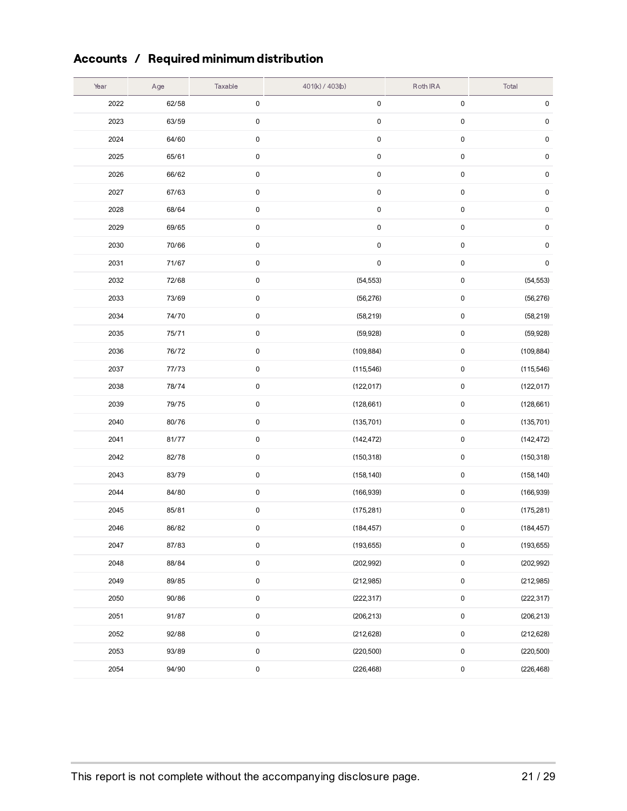## Accounts / Required minimum distribution

| Year | Age   | Taxable   | 401(k) / 403(b) | Roth IRA  | Total      |
|------|-------|-----------|-----------------|-----------|------------|
| 2022 | 62/58 | $\pmb{0}$ | $\pmb{0}$       | $\pmb{0}$ | $\pmb{0}$  |
| 2023 | 63/59 | $\pmb{0}$ | $\pmb{0}$       | $\pmb{0}$ | $\pmb{0}$  |
| 2024 | 64/60 | $\pmb{0}$ | $\pmb{0}$       | $\pmb{0}$ | $\pmb{0}$  |
| 2025 | 65/61 | $\pmb{0}$ | $\pmb{0}$       | $\pmb{0}$ | $\pmb{0}$  |
| 2026 | 66/62 | $\pmb{0}$ | $\pmb{0}$       | $\pmb{0}$ | $\pmb{0}$  |
| 2027 | 67/63 | $\pmb{0}$ | $\pmb{0}$       | $\pmb{0}$ | $\pmb{0}$  |
| 2028 | 68/64 | $\pmb{0}$ | $\pmb{0}$       | $\pmb{0}$ | $\pmb{0}$  |
| 2029 | 69/65 | $\pmb{0}$ | $\pmb{0}$       | $\pmb{0}$ | $\pmb{0}$  |
| 2030 | 70/66 | $\pmb{0}$ | $\pmb{0}$       | $\pmb{0}$ | $\pmb{0}$  |
| 2031 | 71/67 | $\pmb{0}$ | $\pmb{0}$       | $\pmb{0}$ | $\pmb{0}$  |
| 2032 | 72/68 | $\pmb{0}$ | (54, 553)       | $\pmb{0}$ | (54, 553)  |
| 2033 | 73/69 | $\pmb{0}$ | (56, 276)       | $\pmb{0}$ | (56, 276)  |
| 2034 | 74/70 | $\pmb{0}$ | (58, 219)       | $\pmb{0}$ | (58, 219)  |
| 2035 | 75/71 | $\pmb{0}$ | (59, 928)       | $\pmb{0}$ | (59, 928)  |
| 2036 | 76/72 | $\pmb{0}$ | (109, 884)      | $\pmb{0}$ | (109, 884) |
| 2037 | 77/73 | $\pmb{0}$ | (115, 546)      | $\pmb{0}$ | (115, 546) |
| 2038 | 78/74 | $\pmb{0}$ | (122, 017)      | $\pmb{0}$ | (122, 017) |
| 2039 | 79/75 | $\pmb{0}$ | (128, 661)      | $\pmb{0}$ | (128, 661) |
| 2040 | 80/76 | $\pmb{0}$ | (135, 701)      | $\pmb{0}$ | (135, 701) |
| 2041 | 81/77 | $\pmb{0}$ | (142, 472)      | $\pmb{0}$ | (142, 472) |
| 2042 | 82/78 | $\pmb{0}$ | (150, 318)      | $\pmb{0}$ | (150, 318) |
| 2043 | 83/79 | $\pmb{0}$ | (158, 140)      | $\pmb{0}$ | (158, 140) |
| 2044 | 84/80 | $\pmb{0}$ | (166, 939)      | $\pmb{0}$ | (166, 939) |
| 2045 | 85/81 | $\pmb{0}$ | (175, 281)      | $\pmb{0}$ | (175, 281) |
| 2046 | 86/82 | $\pmb{0}$ | (184, 457)      | 0         | (184, 457) |
| 2047 | 87/83 | $\pmb{0}$ | (193, 655)      | $\pmb{0}$ | (193, 655) |
| 2048 | 88/84 | $\pmb{0}$ | (202, 992)      | $\pmb{0}$ | (202, 992) |
| 2049 | 89/85 | $\pmb{0}$ | (212, 985)      | $\pmb{0}$ | (212, 985) |
| 2050 | 90/86 | $\pmb{0}$ | (222, 317)      | $\pmb{0}$ | (222, 317) |
| 2051 | 91/87 | $\pmb{0}$ | (206, 213)      | $\pmb{0}$ | (206, 213) |
| 2052 | 92/88 | $\pmb{0}$ | (212, 628)      | $\pmb{0}$ | (212, 628) |
| 2053 | 93/89 | $\pmb{0}$ | (220, 500)      | $\pmb{0}$ | (220, 500) |
| 2054 | 94/90 | $\pmb{0}$ | (226, 468)      | $\pmb{0}$ | (226, 468) |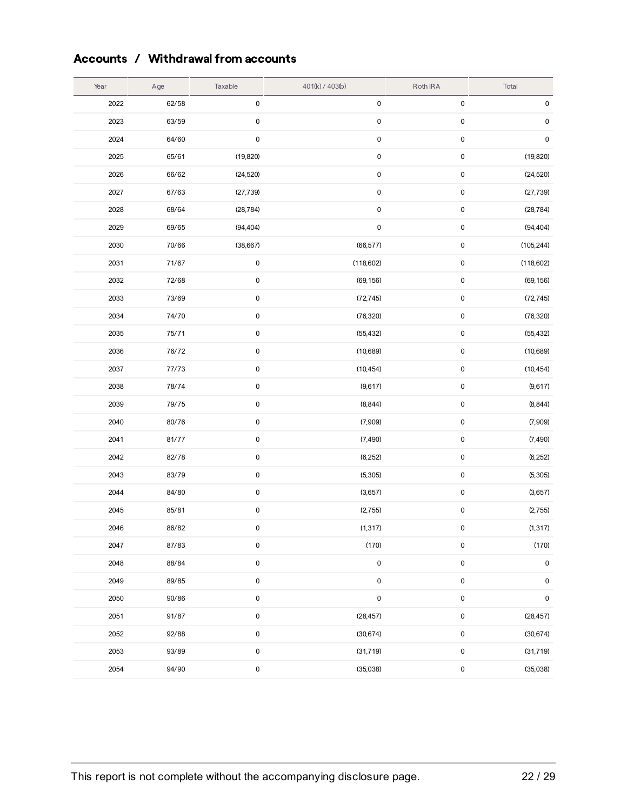### Accounts / Withdrawal from accounts

| Year | Age   | Taxable   | 401(k) / 403(b) | Roth IRA  | Total      |
|------|-------|-----------|-----------------|-----------|------------|
| 2022 | 62/58 | $\pmb{0}$ | $\pmb{0}$       | $\pmb{0}$ | $\pmb{0}$  |
| 2023 | 63/59 | 0         | $\pmb{0}$       | $\pmb{0}$ | $\pmb{0}$  |
| 2024 | 64/60 | 0         | $\mathbf 0$     | $\pmb{0}$ | $\pmb{0}$  |
| 2025 | 65/61 | (19, 820) | $\mathbf 0$     | 0         | (19, 820)  |
| 2026 | 66/62 | (24, 520) | $\pmb{0}$       | 0         | (24, 520)  |
| 2027 | 67/63 | (27, 739) | $\pmb{0}$       | $\pmb{0}$ | (27, 739)  |
| 2028 | 68/64 | (28, 784) | $\pmb{0}$       | $\pmb{0}$ | (28, 784)  |
| 2029 | 69/65 | (94, 404) | $\pmb{0}$       | $\pmb{0}$ | (94, 404)  |
| 2030 | 70/66 | (38, 667) | (66, 577)       | $\pmb{0}$ | (105, 244) |
| 2031 | 71/67 | $\pmb{0}$ | (118, 602)      | 0         | (118, 602) |
| 2032 | 72/68 | 0         | (69, 156)       | 0         | (69, 156)  |
| 2033 | 73/69 | $\pmb{0}$ | (72, 745)       | $\pmb{0}$ | (72, 745)  |
| 2034 | 74/70 | 0         | (76, 320)       | $\pmb{0}$ | (76, 320)  |
| 2035 | 75/71 | $\pmb{0}$ | (55, 432)       | $\pmb{0}$ | (55, 432)  |
| 2036 | 76/72 | 0         | (10,689)        | $\pmb{0}$ | (10,689)   |
| 2037 | 77/73 | 0         | (10, 454)       | 0         | (10, 454)  |
| 2038 | 78/74 | $\pmb{0}$ | (9,617)         | $\pmb{0}$ | (9,617)    |
| 2039 | 79/75 | 0         | (8, 844)        | $\pmb{0}$ | (8, 844)   |
| 2040 | 80/76 | $\pmb{0}$ | (7,909)         | $\pmb{0}$ | (7,909)    |
| 2041 | 81/77 | 0         | (7, 490)        | 0         | (7, 490)   |
| 2042 | 82/78 | $\pmb{0}$ | (6,252)         | $\pmb{0}$ | (6,252)    |
| 2043 | 83/79 | 0         | (5,305)         | 0         | (5,305)    |
| 2044 | 84/80 | $\pmb{0}$ | (3,657)         | $\pmb{0}$ | (3,657)    |
| 2045 | 85/81 | 0         | (2,755)         | $\pmb{0}$ | (2,755)    |
| 2046 | 86/82 | 0         | (1, 317)        | $\pmb{0}$ | (1, 317)   |
| 2047 | 87/83 | 0         | (170)           | 0         | (170)      |
| 2048 | 88/84 | $\pmb{0}$ | $\pmb{0}$       | $\pmb{0}$ | $\pmb{0}$  |
| 2049 | 89/85 | $\pmb{0}$ | $\pmb{0}$       | $\pmb{0}$ | $\pmb{0}$  |
| 2050 | 90/86 | $\pmb{0}$ | $\pmb{0}$       | $\pmb{0}$ | $\pmb{0}$  |
| 2051 | 91/87 | $\pmb{0}$ | (28, 457)       | $\pmb{0}$ | (28, 457)  |
| 2052 | 92/88 | $\pmb{0}$ | (30, 674)       | $\pmb{0}$ | (30, 674)  |
| 2053 | 93/89 | 0         | (31, 719)       | 0         | (31, 719)  |
| 2054 | 94/90 | $\pmb{0}$ | (35,038)        | $\pmb{0}$ | (35,038)   |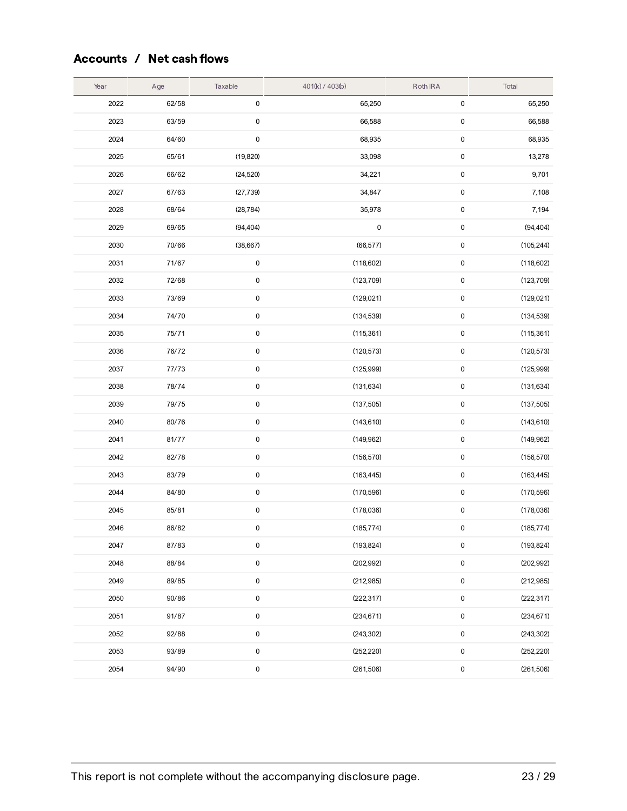### Accounts / Net cash flows

| Year | Age   | Taxable   | 401(k) / 403(b) | Roth IRA  | Total      |
|------|-------|-----------|-----------------|-----------|------------|
| 2022 | 62/58 | $\pmb{0}$ | 65,250          | $\pmb{0}$ | 65,250     |
| 2023 | 63/59 | $\pmb{0}$ | 66,588          | $\pmb{0}$ | 66,588     |
| 2024 | 64/60 | $\pmb{0}$ | 68,935          | $\pmb{0}$ | 68,935     |
| 2025 | 65/61 | (19, 820) | 33,098          | $\pmb{0}$ | 13,278     |
| 2026 | 66/62 | (24, 520) | 34,221          | $\pmb{0}$ | 9,701      |
| 2027 | 67/63 | (27, 739) | 34,847          | $\pmb{0}$ | 7,108      |
| 2028 | 68/64 | (28, 784) | 35,978          | $\pmb{0}$ | 7,194      |
| 2029 | 69/65 | (94, 404) | $\pmb{0}$       | $\pmb{0}$ | (94, 404)  |
| 2030 | 70/66 | (38, 667) | (66, 577)       | $\pmb{0}$ | (105, 244) |
| 2031 | 71/67 | $\pmb{0}$ | (118,602)       | $\pmb{0}$ | (118, 602) |
| 2032 | 72/68 | $\pmb{0}$ | (123, 709)      | $\pmb{0}$ | (123, 709) |
| 2033 | 73/69 | $\pmb{0}$ | (129, 021)      | $\pmb{0}$ | (129, 021) |
| 2034 | 74/70 | $\pmb{0}$ | (134, 539)      | $\pmb{0}$ | (134, 539) |
| 2035 | 75/71 | $\pmb{0}$ | (115, 361)      | 0         | (115, 361) |
| 2036 | 76/72 | $\pmb{0}$ | (120, 573)      | $\pmb{0}$ | (120, 573) |
| 2037 | 77/73 | $\pmb{0}$ | (125,999)       | $\pmb{0}$ | (125, 999) |
| 2038 | 78/74 | $\pmb{0}$ | (131, 634)      | $\pmb{0}$ | (131, 634) |
| 2039 | 79/75 | $\pmb{0}$ | (137, 505)      | 0         | (137, 505) |
| 2040 | 80/76 | $\pmb{0}$ | (143, 610)      | $\pmb{0}$ | (143, 610) |
| 2041 | 81/77 | $\pmb{0}$ | (149, 962)      | $\pmb{0}$ | (149, 962) |
| 2042 | 82/78 | $\pmb{0}$ | (156, 570)      | $\pmb{0}$ | (156, 570) |
| 2043 | 83/79 | $\pmb{0}$ | (163, 445)      | $\pmb{0}$ | (163, 445) |
| 2044 | 84/80 | $\pmb{0}$ | (170, 596)      | $\pmb{0}$ | (170, 596) |
| 2045 | 85/81 | $\pmb{0}$ | (178,036)       | $\pmb{0}$ | (178, 036) |
| 2046 | 86/82 | $\pmb{0}$ | (185, 774)      | $\pmb{0}$ | (185, 774) |
| 2047 | 87/83 | $\pmb{0}$ | (193, 824)      | 0         | (193, 824) |
| 2048 | 88/84 | $\pmb{0}$ | (202, 992)      | 0         | (202, 992) |
| 2049 | 89/85 | $\pmb{0}$ | (212, 985)      | $\pmb{0}$ | (212, 985) |
| 2050 | 90/86 | $\pmb{0}$ | (222, 317)      | $\pmb{0}$ | (222, 317) |
| 2051 | 91/87 | $\pmb{0}$ | (234, 671)      | $\pmb{0}$ | (234, 671) |
| 2052 | 92/88 | $\pmb{0}$ | (243, 302)      | 0         | (243, 302) |
| 2053 | 93/89 | $\pmb{0}$ | (252, 220)      | 0         | (252, 220) |
| 2054 | 94/90 | $\pmb{0}$ | (261, 506)      | 0         | (261, 506) |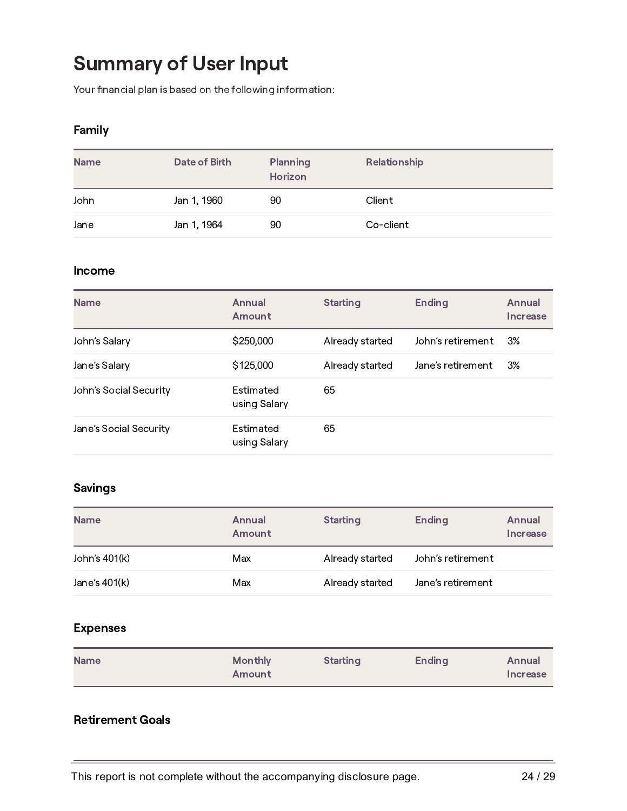# Summary of User Input

Your financial plan is based on the following information:

#### Family

| <b>Name</b> | Date of Birth | <b>Planning</b><br>Horizon | Relationship |
|-------------|---------------|----------------------------|--------------|
| John        | Jan 1, 1960   | 90                         | Client       |
| Jane        | Jan 1, 1964   | 90                         | Co-client    |

#### Income

| <b>Name</b>            | Annual<br>Amount          | <b>Starting</b> | <b>Ending</b>     | Annual<br>Increase |
|------------------------|---------------------------|-----------------|-------------------|--------------------|
| John's Salary          | \$250,000                 | Already started | John's retirement | 3%                 |
| Jane's Salary          | \$125,000                 | Already started | Jane's retirement | 3%                 |
| John's Social Security | Estimated<br>using Salary | 65              |                   |                    |
| Jane's Social Security | Estimated<br>using Salary | 65              |                   |                    |

### Savings

| <b>Name</b>   | Annual<br>Amount | <b>Starting</b> | <b>Ending</b>     | Annual<br>Increase |
|---------------|------------------|-----------------|-------------------|--------------------|
| John's 401(k) | Max              | Already started | John's retirement |                    |
| Jane's 401(k) | Max              | Already started | Jane's retirement |                    |

#### Expenses

| <b>Name</b> | <b>Monthly</b><br>Amount | <b>Starting</b> | <b>Ending</b> | Annual<br>Increase |
|-------------|--------------------------|-----------------|---------------|--------------------|
|             |                          |                 |               |                    |

### Retirement Goals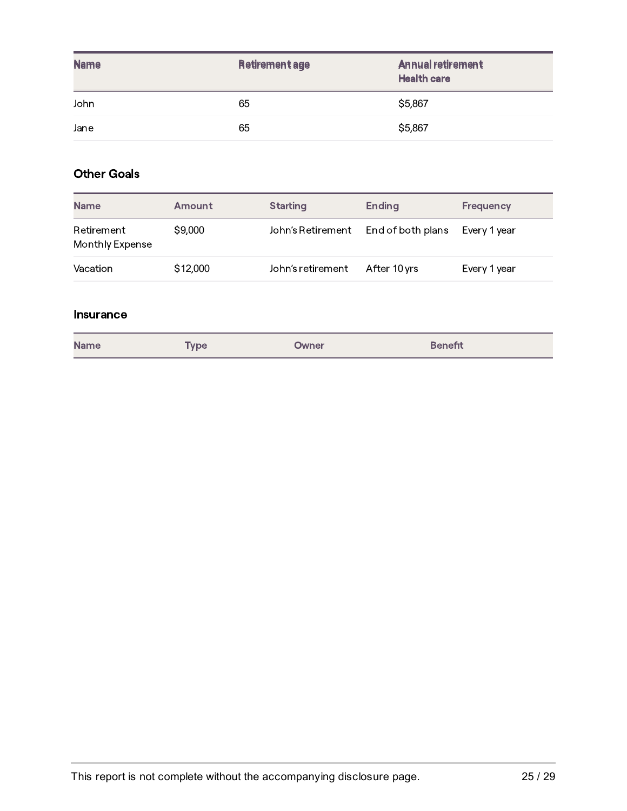| <b>Name</b> | <b>Retirement age</b> | <b>Annual retirement</b><br><b>Health care</b> |
|-------------|-----------------------|------------------------------------------------|
| John        | 65                    | \$5,867                                        |
| Jane        | 65                    | \$5,867                                        |

### Other Goals

| <b>Name</b>                   | Amount   | <b>Starting</b>   | <b>Ending</b>     | <b>Frequency</b> |
|-------------------------------|----------|-------------------|-------------------|------------------|
| Retirement<br>Monthly Expense | \$9,000  | John's Retirement | End of both plans | Every 1 year     |
| Vacation                      | \$12,000 | John's retirement | After 10 yrs      | Every 1 year     |

#### Insurance

| <b>Name</b> | <b>Type</b> | Owner | <b>Benefit</b> |
|-------------|-------------|-------|----------------|
|-------------|-------------|-------|----------------|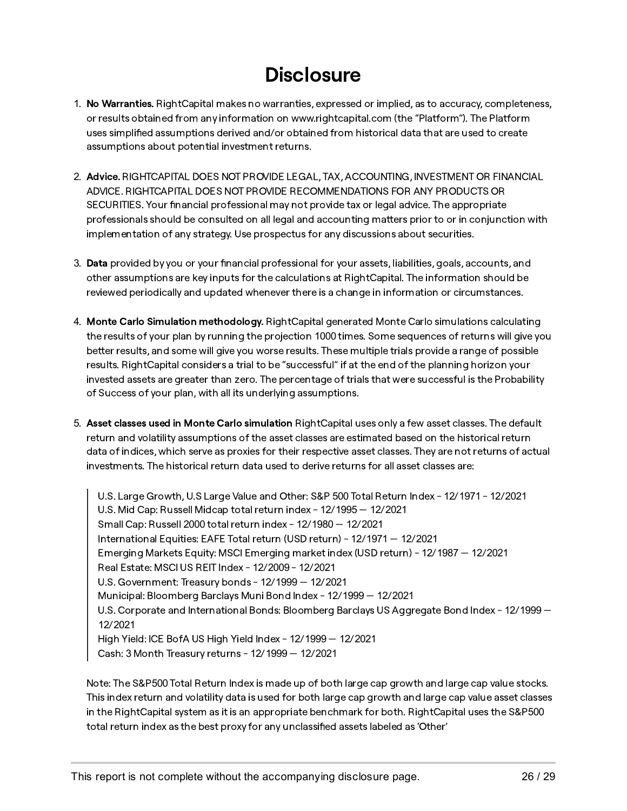## **Disclosure**

- 1. No Warranties. RightCapital makes no warranties, expressed or implied, as to accuracy, completeness, or results obtained from any information on www.rightcapital.com (the "Platform"). The Platform uses simplied assumptions derived and/or obtained from historical data that are used to create assumptions about potential investment returns.
- 2. Advice. RIGHTCAPITAL DOES NOT PROVIDE LEGAL, TAX, ACCOUNTING, INVESTMENT OR FINANCIAL ADVICE. RIGHTCAPITAL DOES NOT PROVIDE RECOMMENDATIONS FOR ANY PRODUCTS OR SECURITIES. Your financial professional may not provide tax or legal advice. The appropriate professionals should be consulted on all legal and accounting matters prior to or in conjunction with implementation of any strategy. Use prospectus for any discussions about securities.
- 3. Data provided by you or your financial professional for your assets, liabilities, goals, accounts, and other assumptions are key inputs for the calculations at RightCapital. The information should be reviewed periodically and updated whenever there is a change in information or circumstances.
- 4. Monte Carlo Simulation methodology. RightCapital generated Monte Carlo simulations calculating the results of your plan by running the projection 1000 times. Some sequences of returns will give you better results, and some will give you worse results. These multiple trials provide a range of possible results. RightCapital considers a trial to be "successful" if at the end of the planning horizon your invested assets are greater than zero. The percentage of trials that were successful is the Probability of Success of your plan, with all its underlying assumptions.
- 5. Asset classes used in Monte Carlo simulation RightCapital uses only a few asset classes. The default return and volatility assumptions of the asset classes are estimated based on the historical return data of indices, which serve as proxies for their respective asset classes. They are not returns of actual investments. The historical return data used to derive returns for all asset classes are:

U.S. Large Growth, U.S Large Value and Other: S&P 500 Total Return Index - 12/1971 - 12/2021 U.S. Mid Cap: Russell Midcap total return index - 12/1995 — 12/2021 Small Cap: Russell 2000 total return index - 12/1980 — 12/2021 International Equities: EAFE Total return (USD return) - 12/1971 — 12/2021 Emerging Markets Equity: MSCI Emerging market index (USD return) - 12/1987 — 12/2021 Real Estate: MSCI US REIT Index - 12/2009 - 12/2021 U.S. Government: Treasury bonds - 12/1999 — 12/2021 Municipal: Bloomberg Barclays Muni Bond Index - 12/1999 — 12/2021 U.S. Corporate and International Bonds: Bloomberg Barclays US Aggregate Bond Index - 12/1999 -12/2021 High Yield: ICE BofA US High Yield Index - 12/1999 — 12/2021 Cash: 3 Month Treasury returns - 12/1999 — 12/2021

Note: The S&P500 Total Return Index is made up of both large cap growth and large cap value stocks. This index return and volatility data is used for both large cap growth and large cap value asset classes in the RightCapital system as it is an appropriate benchmark for both. RightCapital uses the S&P500 total return index as the best proxy for any unclassified assets labeled as 'Other'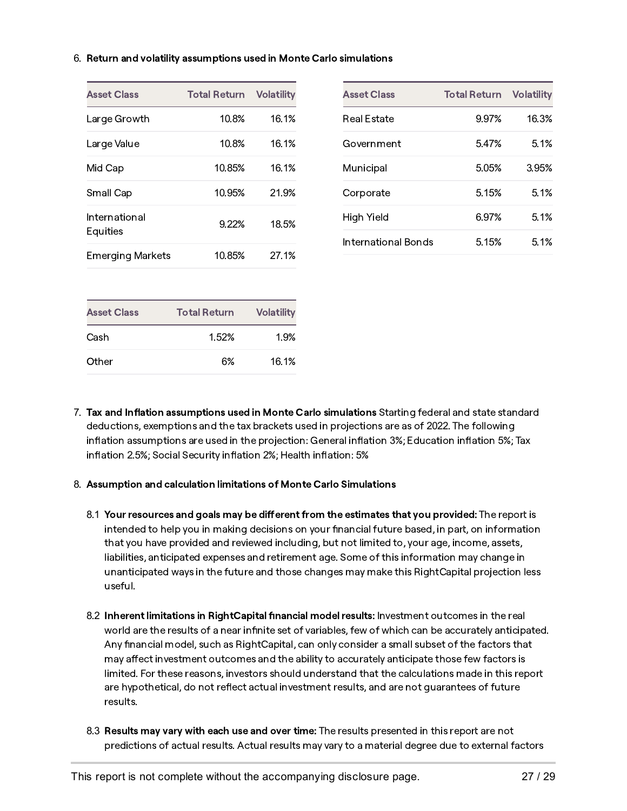#### 6. Return and volatility assumptions used in Monte Carlo simulations

| <b>Asset Class</b>      | <b>Total Return</b> | <b>Volatility</b> |
|-------------------------|---------------------|-------------------|
| Large Growth            | 10.8%               | 16.1%             |
| Large Value             | 10.8%               | 16.1%             |
| Mid Cap                 | 10.85%              | 16.1%             |
| Small Cap               | 10.95%              | 21.9%             |
| International           | 9.22%               | 18.5%             |
| Equities                |                     |                   |
| <b>Emerging Markets</b> | 10.85%              | 27.1%             |
|                         |                     |                   |
| <b>Asset Class</b>      | <b>Total Return</b> | <b>Volatility</b> |

7. Tax and Inflation assumptions used in Monte Carlo simulations Starting federal and state standard deductions, exemptions and the tax brackets used in projections are as of 2022. The following inflation assumptions are used in the projection: General inflation 3%; Education inflation 5%; Tax inflation 2.5%; Social Security inflation 2%; Health inflation: 5%

#### 8. Assumption and calculation limitations of Monte Carlo Simulations

Cash 1.52% 1.9%

Other 6% 16.1%

- 8.1 Your resources and goals may be different from the estimates that you provided: The report is intended to help you in making decisions on your financial future based, in part, on information that you have provided and reviewed including, but not limited to, your age, income, assets, liabilities, anticipated expenses and retirement age. Some of this information may change in unanticipated ways in the future and those changes may make this RightCapital projection less useful.
- 8.2 Inherent limitations in RightCapital financial model results: Investment outcomes in the real world are the results of a near infinite set of variables, few of which can be accurately anticipated. Any financial model, such as RightCapital, can only consider a small subset of the factors that may affect investment outcomes and the ability to accurately anticipate those few factors is limited. For these reasons, investors should understand that the calculations made in this repo are hypothetical, do not reflect actual investment results, and are not guarantees of future results.
- 8.3 Results may vary with each use and over time: The results presented in this report are not predictions of actual results. Actual results may vary to a material degree due to external factors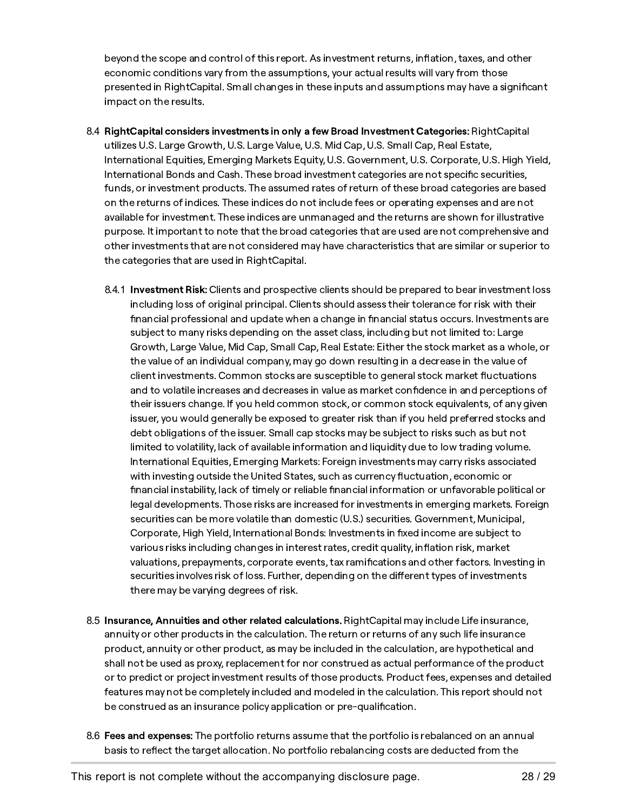beyond the scope and control of this report. As investment returns, inflation, taxes, and other economic conditions vary from the assumptions, your actual results will vary from those presented in RightCapital. Small changes in these inputs and assumptions may have a significant impact on the results.

- 8.4 RightCapital considers investments in only a few Broad Investment Categories: RightCapital utilizes U.S. Large Growth, U.S. Large Value, U.S. Mid Cap, U.S. Small Cap, Real Estate, International Equities, Emerging Markets Equity, U.S. Government, U.S. Corporate, U.S. High Yield, International Bonds and Cash. These broad investment categories are not specific securities, funds, or investment products. The assumed rates of return of these broad categories are based on the returns of indices. These indices do not include fees or operating expenses and are not available for investment. These indices are unmanaged and the returns are shown for illustrative purpose. It important to note that the broad categories that are used are not comprehensive and other investments that are not considered may have characteristics that are similar or superior to the categories that are used in RightCapital.
	- 8.4.1 Investment Risk: Clients and prospective clients should be prepared to bear investment loss including loss of original principal. Clients should assess their tolerance for risk with their financial professional and update when a change in financial status occurs. Investments are subject to many risks depending on the asset class, including but not limited to: Large Growth, Large Value, Mid Cap, Small Cap, Real Estate: Either the stock market as a whole, or the value of an individual company, may go down resulting in a decrease in the value of client investments. Common stocks are susceptible to general stock market fluctuations and to volatile increases and decreases in value as market condence in and perceptions of their issuers change. If you held common stock, or common stock equivalents, of any given issuer, you would generally be exposed to greater risk than if you held preferred stocks and debt obligations of the issuer. Small cap stocks may be subject to risks such as but not limited to volatility, lack of available information and liquidity due to low trading volume. International Equities, Emerging Markets: Foreign investments may carry risks associated with investing outside the United States, such as currency fluctuation, economic or financial instability, lack of timely or reliable financial information or unfavorable political or legal developments. Those risks are increased for investments in emerging markets. Foreign securities can be more volatile than domestic (U.S.) securities. Government, Municipal, Corporate, High Yield, International Bonds: Investments in fixed income are subject to various risks including changes in interest rates, credit quality, inflation risk, market valuations, prepayments, corporate events, tax ramifications and other factors. Investing in securities involves risk of loss. Further, depending on the different types of investments there may be varying degrees of risk.
- 8.5 Insurance, Annuities and other related calculations. RightCapital may include Life insurance, annuity or other products in the calculation. The return or returns of any such life insurance product, annuity or other product, as may be included in the calculation, are hypothetical and shall not be used as proxy, replacement for nor construed as actual performance of the product or to predict or project investment results of those products. Product fees, expenses and detailed features may not be completely included and modeled in the calculation. This report should not be construed as an insurance policy application or pre-qualification.
- 8.6 Fees and expenses: The portfolio returns assume that the portfolio is rebalanced on an annual basis to reflect the target allocation. No portfolio rebalancing costs are deducted from the

This report is not complete without the accompanying disclosure page. 28 / 29